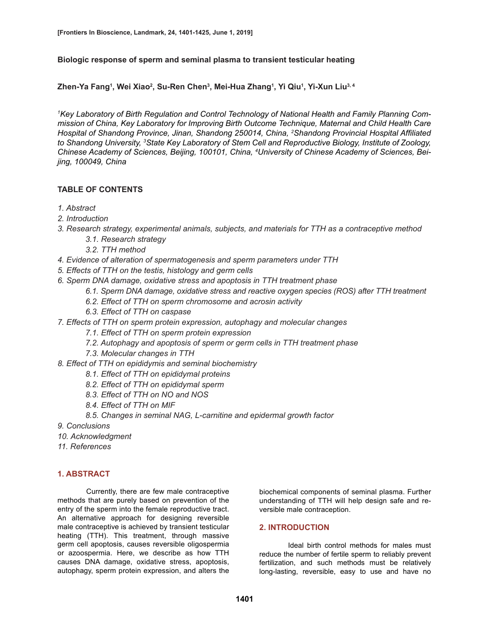### **Biologic response of sperm and seminal plasma to transient testicular heating**

**Zhen-Ya Fang1 , Wei Xiao2 , Su-Ren Chen3 , Mei-Hua Zhang1 , Yi Qiu1 , Yi-Xun Liu3, 4**

*1 Key Laboratory of Birth Regulation and Control Technology of National Health and Family Planning Commission of China, Key Laboratory for Improving Birth Outcome Technique, Maternal and Child Health Care Hospital of Shandong Province, Jinan, Shandong 250014, China, 2 Shandong Provincial Hospital Affiliated to Shandong University, 3 State Key Laboratory of Stem Cell and Reproductive Biology, Institute of Zoology, Chinese Academy of Sciences, Beijing, 100101, China, 4 University of Chinese Academy of Sciences, Beijing, 100049, China*

# **TABLE OF CONTENTS**

- *1. Abstract*
- *2. Introduction*
- *3. Research strategy, experimental animals, subjects, and materials for TTH as a contraceptive method*
	- *3.1. Research strategy*
	- *3.2. TTH method*
- *4. Evidence of alteration of spermatogenesis and sperm parameters under TTH*
- *5. Effects of TTH on the testis, histology and germ cells*
- *6. Sperm DNA damage, oxidative stress and apoptosis in TTH treatment phase*
	- *6.1. Sperm DNA damage, oxidative stress and reactive oxygen species (ROS) after TTH treatment*
	- *6.2. Effect of TTH on sperm chromosome and acrosin activity*
	- *6.3. Effect of TTH on caspase*
- *7. Effects of TTH on sperm protein expression, autophagy and molecular changes* 
	- *7.1. Effect of TTH on sperm protein expression*
	- *7.2. Autophagy and apoptosis of sperm or germ cells in TTH treatment phase*
	- *7.3. Molecular changes in TTH*
- *8. Effect of TTH on epididymis and seminal biochemistry*
	- *8.1. Effect of TTH on epididymal proteins*
	- *8.2. Effect of TTH on epididymal sperm*
	- *8.3. Effect of TTH on NO and NOS*
	- *8.4. Effect of TTH on MIF*
	- *8.5. Changes in seminal NAG, L-carnitine and epidermal growth factor*
- *9. Conclusions*
- *10. Acknowledgment*
- *11. References*

# **1. ABSTRACT**

Currently, there are few male contraceptive methods that are purely based on prevention of the entry of the sperm into the female reproductive tract. An alternative approach for designing reversible male contraceptive is achieved by transient testicular heating (TTH). This treatment, through massive germ cell apoptosis, causes reversible oligospermia or azoospermia. Here, we describe as how TTH causes DNA damage, oxidative stress, apoptosis, autophagy, sperm protein expression, and alters the biochemical components of seminal plasma. Further understanding of TTH will help design safe and reversible male contraception.

### **2. INTRODUCTION**

Ideal birth control methods for males must reduce the number of fertile sperm to reliably prevent fertilization, and such methods must be relatively long-lasting, reversible, easy to use and have no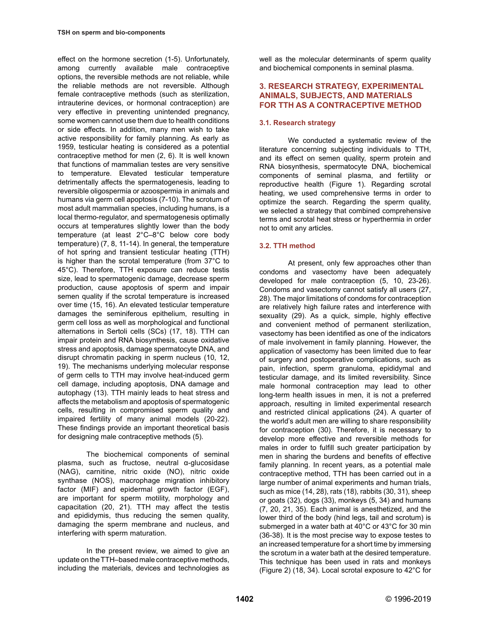effect on the hormone secretion (1-5). Unfortunately, among currently available male contraceptive options, the reversible methods are not reliable, while the reliable methods are not reversible. Although female contraceptive methods (such as sterilization, intrauterine devices, or hormonal contraception) are very effective in preventing unintended pregnancy, some women cannot use them due to health conditions or side effects. In addition, many men wish to take active responsibility for family planning. As early as 1959, testicular heating is considered as a potential contraceptive method for men (2, 6). It is well known that functions of mammalian testes are very sensitive to temperature. Elevated testicular temperature detrimentally affects the spermatogenesis, leading to reversible oligospermia or azoospermia in animals and humans via germ cell apoptosis (7-10). The scrotum of most adult mammalian species, including humans, is a local thermo-regulator, and spermatogenesis optimally occurs at temperatures slightly lower than the body temperature (at least 2°C–8°C below core body temperature) (7, 8, 11-14). In general, the temperature of hot spring and transient testicular heating (TTH) is higher than the scrotal temperature (from 37°C to 45°C). Therefore, TTH exposure can reduce testis size, lead to spermatogenic damage, decrease sperm production, cause apoptosis of sperm and impair semen quality if the scrotal temperature is increased over time (15, 16). An elevated testicular temperature damages the seminiferous epithelium, resulting in germ cell loss as well as morphological and functional alternations in Sertoli cells (SCs) (17, 18). TTH can impair protein and RNA biosynthesis, cause oxidative stress and apoptosis, damage spermatocyte DNA, and disrupt chromatin packing in sperm nucleus (10, 12, 19). The mechanisms underlying molecular response of germ cells to TTH may involve heat-induced germ cell damage, including apoptosis, DNA damage and autophagy (13). TTH mainly leads to heat stress and affects the metabolism and apoptosis of spermatogenic cells, resulting in compromised sperm quality and impaired fertility of many animal models (20-22). These findings provide an important theoretical basis for designing male contraceptive methods (5).

The biochemical components of seminal plasma, such as fructose, neutral α-glucosidase (NAG), carnitine, nitric oxide (NO), nitric oxide synthase (NOS), macrophage migration inhibitory factor (MIF) and epidermal growth factor (EGF), are important for sperm motility, morphology and capacitation (20, 21). TTH may affect the testis and epididymis, thus reducing the semen quality, damaging the sperm membrane and nucleus, and interfering with sperm maturation.

In the present review, we aimed to give an update on the TTH–based male contraceptive methods, including the materials, devices and technologies as well as the molecular determinants of sperm quality and biochemical components in seminal plasma.

## **3. RESEARCH STRATEGY, EXPERIMENTAL ANIMALS, SUBJECTS, AND MATERIALS FOR TTH AS A CONTRACEPTIVE METHOD**

# **3.1. Research strategy**

We conducted a systematic review of the literature concerning subjecting individuals to TTH, and its effect on semen quality, sperm protein and RNA biosynthesis, spermatocyte DNA, biochemical components of seminal plasma, and fertility or reproductive health (Figure 1). Regarding scrotal heating, we used comprehensive terms in order to optimize the search. Regarding the sperm quality, we selected a strategy that combined comprehensive terms and scrotal heat stress or hyperthermia in order not to omit any articles.

# **3.2. TTH method**

At present, only few approaches other than condoms and vasectomy have been adequately developed for male contraception (5, 10, 23-26). Condoms and vasectomy cannot satisfy all users (27, 28). The major limitations of condoms for contraception are relatively high failure rates and interference with sexuality (29). As a quick, simple, highly effective and convenient method of permanent sterilization, vasectomy has been identified as one of the indicators of male involvement in family planning. However, the application of vasectomy has been limited due to fear of surgery and postoperative complications, such as pain, infection, sperm granuloma, epididymal and testicular damage, and its limited reversibility. Since male hormonal contraception may lead to other long-term health issues in men, it is not a preferred approach, resulting in limited experimental research and restricted clinical applications (24). A quarter of the world's adult men are willing to share responsibility for contraception (30). Therefore, it is necessary to develop more effective and reversible methods for males in order to fulfill such greater participation by men in sharing the burdens and benefits of effective family planning. In recent years, as a potential male contraceptive method, TTH has been carried out in a large number of animal experiments and human trials, such as mice (14, 28), rats (18), rabbits (30, 31), sheep or goats (32), dogs (33), monkeys (5, 34) and humans (7, 20, 21, 35). Each animal is anesthetized, and the lower third of the body (hind legs, tail and scrotum) is submerged in a water bath at 40°C or 43°C for 30 min (36-38). It is the most precise way to expose testes to an increased temperature for a short time by immersing the scrotum in a water bath at the desired temperature. This technique has been used in rats and monkeys (Figure 2) (18, 34). Local scrotal exposure to 42°C for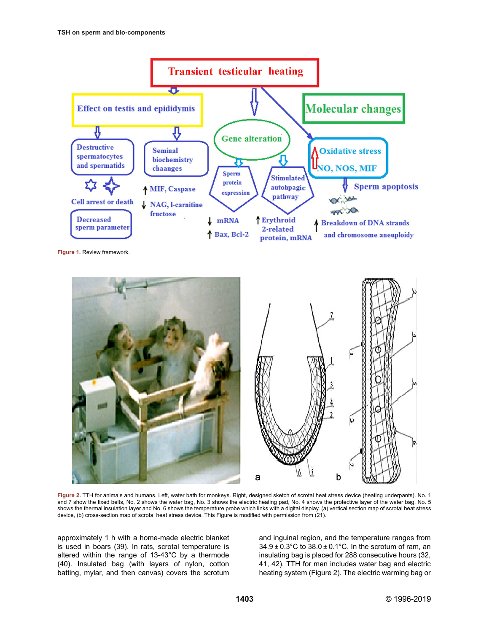

**Figure 1.** Review framework.



**Figure 2.** TTH for animals and humans. Left, water bath for monkeys. Right, designed sketch of scrotal heat stress device (heating underpants). No. 1 and 7 show the fixed belts, No. 2 shows the water bag, No. 3 shows the electric heating pad, No. 4 shows the protective layer of the water bag, No. 5 shows the thermal insulation layer and No. 6 shows the temperature probe which links with a digital display. (a) vertical section map of scrotal heat stress device, (b) cross-section map of scrotal heat stress device. This Figure is modified with permission from (21).

approximately 1 h with a home-made electric blanket is used in boars (39). In rats, scrotal temperature is altered within the range of 13-43°C by a thermode (40). Insulated bag (with layers of nylon, cotton batting, mylar, and then canvas) covers the scrotum and inguinal region, and the temperature ranges from 34.9 ± 0.3°C to 38.0 ± 0.1°C. In the scrotum of ram, an insulating bag is placed for 288 consecutive hours (32, 41, 42). TTH for men includes water bag and electric heating system (Figure 2). The electric warming bag or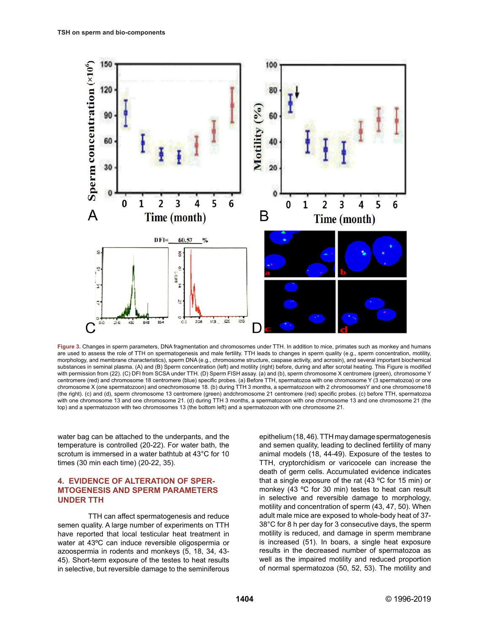

**Figure 3.** Changes in sperm parameters, DNA fragmentation and chromosomes under TTH. In addition to mice, primates such as monkey and humans are used to assess the role of TTH on spermatogenesis and male fertility. TTH leads to changes in sperm quality (e.g., sperm concentration, motility, morphology, and membrane characteristics), sperm DNA (e.g., chromosome structure, caspase activity, and acrosin), and several important biochemical substances in seminal plasma. (A) and (B) Sperm concentration (left) and motility (right) before, during and after scrotal heating. This Figure is modified with permission from (22). (C) DFI from SCSA under TTH. (D) Sperm FISH assay. (a) and (b), sperm chromosome X centromere (green), chromosome Y centromere (red) and chromosome 18 centromere (blue) specific probes. (a) Before TTH, spermatozoa with one chromosome Y (3 spermatozoa) or one chromosome X (one spermatozoon) and onechromosome 18. (b) during TTH 3 months, a spermatozoon with 2 chromosomesY and one chromosome18 (the right). (c) and (d), sperm chromosome 13 centromere (green) andchromosome 21 centromere (red) specific probes. (c) before TTH, spermatozoa with one chromosome 13 and one chromosome 21. (d) during TTH 3 months, a spermatozoon with one chromosome 13 and one chromosome 21 (the top) and a spermatozoon with two chromosomes 13 (the bottom left) and a spermatozoon with one chromosome 21.

water bag can be attached to the underpants, and the temperature is controlled (20-22). For water bath, the scrotum is immersed in a water bathtub at 43°C for 10 times (30 min each time) (20-22, 35).

### **4. EVIDENCE OF ALTERATION OF SPER-MTOGENESIS AND SPERM PARAMETERS UNDER TTH**

TTH can affect spermatogenesis and reduce semen quality. A large number of experiments on TTH have reported that local testicular heat treatment in water at 43ºC can induce reversible oligospermia or azoospermia in rodents and monkeys (5, 18, 34, 43- 45). Short-term exposure of the testes to heat results in selective, but reversible damage to the seminiferous epithelium (18, 46). TTH may damage spermatogenesis and semen quality, leading to declined fertility of many animal models (18, 44-49). Exposure of the testes to TTH, cryptorchidism or varicocele can increase the death of germ cells. Accumulated evidence indicates that a single exposure of the rat (43 ºC for 15 min) or monkey (43 ºC for 30 min) testes to heat can result in selective and reversible damage to morphology, motility and concentration of sperm (43, 47, 50). When adult male mice are exposed to whole-body heat of 37- 38°C for 8 h per day for 3 consecutive days, the sperm motility is reduced, and damage in sperm membrane is increased (51). In boars, a single heat exposure results in the decreased number of spermatozoa as well as the impaired motility and reduced proportion of normal spermatozoa (50, 52, 53). The motility and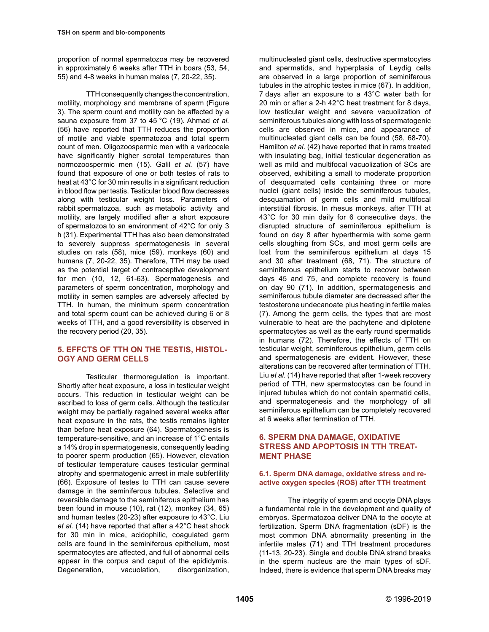proportion of normal spermatozoa may be recovered in approximately 6 weeks after TTH in boars (53, 54, 55) and 4-8 weeks in human males (7, 20-22, 35).

TTH consequently changes the concentration, motility, morphology and membrane of sperm (Figure 3). The sperm count and motility can be affected by a sauna exposure from 37 to 45 °C (19). Ahmad *et al.* (56) have reported that TTH reduces the proportion of motile and viable spermatozoa and total sperm count of men. Oligozoospermic men with a varicocele have significantly higher scrotal temperatures than normozoospermic men (15). Galil *et al.* (57) have found that exposure of one or both testes of rats to heat at 43°C for 30 min results in a significant reduction in blood flow per testis. Testicular blood flow decreases along with testicular weight loss. Parameters of rabbit spermatozoa, such as metabolic activity and motility, are largely modified after a short exposure of spermatozoa to an environment of 42°C for only 3 h (31). Experimental TTH has also been demonstrated to severely suppress spermatogenesis in several studies on rats (58), mice (59), monkeys (60) and humans (7, 20-22, 35). Therefore, TTH may be used as the potential target of contraceptive development for men (10, 12, 61-63). Spermatogenesis and parameters of sperm concentration, morphology and motility in semen samples are adversely affected by TTH. In human, the minimum sperm concentration and total sperm count can be achieved during 6 or 8 weeks of TTH, and a good reversibility is observed in the recovery period (20, 35).

# **5. EFFCTS OF TTH ON THE TESTIS, HISTOL-OGY AND GERM CELLS**

Testicular thermoregulation is important. Shortly after heat exposure, a loss in testicular weight occurs. This reduction in testicular weight can be ascribed to loss of germ cells. Although the testicular weight may be partially regained several weeks after heat exposure in the rats, the testis remains lighter than before heat exposure (64). Spermatogenesis is temperature-sensitive, and an increase of 1°C entails a 14% drop in spermatogenesis, consequently leading to poorer sperm production (65). However, elevation of testicular temperature causes testicular germinal atrophy and spermatogenic arrest in male subfertility (66). Exposure of testes to TTH can cause severe damage in the seminiferous tubules. Selective and reversible damage to the seminiferous epithelium has been found in mouse (10), rat (12), monkey (34, 65) and human testes (20-23) after exposure to 43°C. Liu *et al.* (14) have reported that after a 42°C heat shock for 30 min in mice, acidophilic, coagulated germ cells are found in the seminiferous epithelium, most spermatocytes are affected, and full of abnormal cells appear in the corpus and caput of the epididymis. Degeneration, vacuolation, disorganization,

multinucleated giant cells, destructive spermatocytes and spermatids, and hyperplasia of Leydig cells are observed in a large proportion of seminiferous tubules in the atrophic testes in mice (67). In addition, 7 days after an exposure to a 43°C water bath for 20 min or after a 2-h 42°C heat treatment for 8 days, low testicular weight and severe vacuolization of seminiferous tubules along with loss of spermatogenic cells are observed in mice, and appearance of multinucleated giant cells can be found (58, 68-70). Hamilton *et al.* (42) have reported that in rams treated with insulating bag, initial testicular degeneration as well as mild and multifocal vacuolization of SCs are observed, exhibiting a small to moderate proportion of desquamated cells containing three or more nuclei (giant cells) inside the seminiferous tubules, desquamation of germ cells and mild multifocal interstitial fibrosis. In rhesus monkeys, after TTH at 43°C for 30 min daily for 6 consecutive days, the disrupted structure of seminiferous epithelium is found on day 8 after hyperthermia with some germ cells sloughing from SCs, and most germ cells are lost from the seminiferous epithelium at days 15 and 30 after treatment (68, 71). The structure of seminiferous epithelium starts to recover between days 45 and 75, and complete recovery is found on day 90 (71). In addition, spermatogenesis and seminiferous tubule diameter are decreased after the testosterone undecanoate plus heating in fertile males (7). Among the germ cells, the types that are most vulnerable to heat are the pachytene and diplotene spermatocytes as well as the early round spermatids in humans (72). Therefore, the effects of TTH on testicular weight, seminiferous epithelium, germ cells and spermatogenesis are evident. However, these alterations can be recovered after termination of TTH. Liu *et al.* (14) have reported that after 1-week recovery period of TTH, new spermatocytes can be found in injured tubules which do not contain spermatid cells, and spermatogenesis and the morphology of all seminiferous epithelium can be completely recovered at 6 weeks after termination of TTH.

## **6. SPERM DNA DAMAGE, OXIDATIVE STRESS AND APOPTOSIS IN TTH TREAT-MENT PHASE**

### **6.1. Sperm DNA damage, oxidative stress and reactive oxygen species (ROS) after TTH treatment**

The integrity of sperm and oocyte DNA plays a fundamental role in the development and quality of embryos. Spermatozoa deliver DNA to the oocyte at fertilization. Sperm DNA fragmentation (sDF) is the most common DNA abnormality presenting in the infertile males (71) and TTH treatment procedures (11-13, 20-23). Single and double DNA strand breaks in the sperm nucleus are the main types of sDF. Indeed, there is evidence that sperm DNA breaks may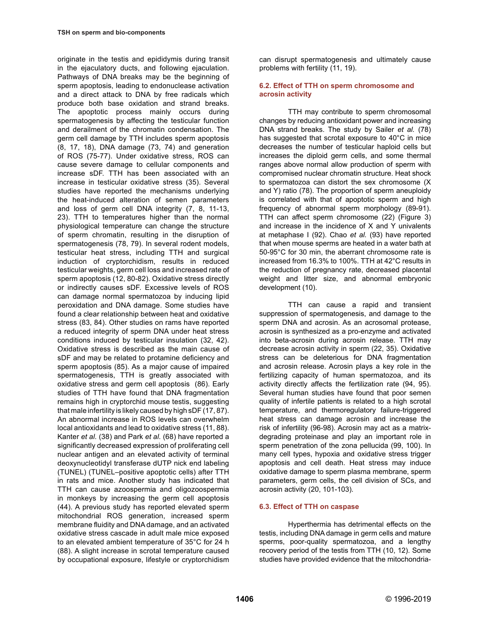originate in the testis and epididymis during transit in the ejaculatory ducts, and following ejaculation. Pathways of DNA breaks may be the beginning of sperm apoptosis, leading to endonuclease activation and a direct attack to DNA by free radicals which produce both base oxidation and strand breaks. The apoptotic process mainly occurs during spermatogenesis by affecting the testicular function and derailment of the chromatin condensation. The germ cell damage by TTH includes sperm apoptosis (8, 17, 18), DNA damage (73, 74) and generation of ROS (75-77). Under oxidative stress, ROS can cause severe damage to cellular components and increase sDF. TTH has been associated with an increase in testicular oxidative stress (35). Several studies have reported the mechanisms underlying the heat-induced alteration of semen parameters and loss of germ cell DNA integrity (7, 8, 11-13, 23). TTH to temperatures higher than the normal physiological temperature can change the structure of sperm chromatin, resulting in the disruption of spermatogenesis (78, 79). In several rodent models, testicular heat stress, including TTH and surgical induction of cryptorchidism, results in reduced testicular weights, germ cell loss and increased rate of sperm apoptosis (12, 80-82). Oxidative stress directly or indirectly causes sDF. Excessive levels of ROS can damage normal spermatozoa by inducing lipid peroxidation and DNA damage. Some studies have found a clear relationship between heat and oxidative stress (83, 84). Other studies on rams have reported a reduced integrity of sperm DNA under heat stress conditions induced by testicular insulation (32, 42). Oxidative stress is described as the main cause of sDF and may be related to protamine deficiency and sperm apoptosis (85). As a major cause of impaired spermatogenesis, TTH is greatly associated with oxidative stress and germ cell apoptosis (86). Early studies of TTH have found that DNA fragmentation remains high in cryptorchid mouse testis, suggesting that male infertility is likely caused by high sDF (17, 87). An abnormal increase in ROS levels can overwhelm local antioxidants and lead to oxidative stress (11, 88). Kanter *et al.* (38) and Park *et al.* (68) have reported a significantly decreased expression of proliferating cell nuclear antigen and an elevated activity of terminal deoxynucleotidyl transferase dUTP nick end labeling (TUNEL) (TUNEL–positive apoptotic cells) after TTH in rats and mice. Another study has indicated that TTH can cause azoospermia and oligozoospermia in monkeys by increasing the germ cell apoptosis (44). A previous study has reported elevated sperm mitochondrial ROS generation, increased sperm membrane fluidity and DNA damage, and an activated oxidative stress cascade in adult male mice exposed to an elevated ambient temperature of 35°C for 24 h (88). A slight increase in scrotal temperature caused by occupational exposure, lifestyle or cryptorchidism

can disrupt spermatogenesis and ultimately cause problems with fertility (11, 19).

#### **6.2. Effect of TTH on sperm chromosome and acrosin activity**

TTH may contribute to sperm chromosomal changes by reducing antioxidant power and increasing DNA strand breaks. The study by Sailer *et al.* (78) has suggested that scrotal exposure to 40°C in mice decreases the number of testicular haploid cells but increases the diploid germ cells, and some thermal ranges above normal allow production of sperm with compromised nuclear chromatin structure. Heat shock to spermatozoa can distort the sex chromosome (X and Y) ratio (78). The proportion of sperm aneuploidy is correlated with that of apoptotic sperm and high frequency of abnormal sperm morphology (89-91). TTH can affect sperm chromosome (22) (Figure 3) and increase in the incidence of X and Y univalents at metaphase I (92). Chao *et al.* (93) have reported that when mouse sperms are heated in a water bath at 50-95°C for 30 min, the aberrant chromosome rate is increased from 16.3% to 100%. TTH at 42°C results in the reduction of pregnancy rate, decreased placental weight and litter size, and abnormal embryonic development (10).

TTH can cause a rapid and transient suppression of spermatogenesis, and damage to the sperm DNA and acrosin. As an acrosomal protease, acrosin is synthesized as a pro-enzyme and activated into beta-acrosin during acrosin release. TTH may decrease acrosin activity in sperm (22, 35). Oxidative stress can be deleterious for DNA fragmentation and acrosin release. Acrosin plays a key role in the fertilizing capacity of human spermatozoa, and its activity directly affects the fertilization rate (94, 95). Several human studies have found that poor semen quality of infertile patients is related to a high scrotal temperature, and thermoregulatory failure-triggered heat stress can damage acrosin and increase the risk of infertility (96-98). Acrosin may act as a matrixdegrading proteinase and play an important role in sperm penetration of the zona pellucida (99, 100). In many cell types, hypoxia and oxidative stress trigger apoptosis and cell death. Heat stress may induce oxidative damage to sperm plasma membrane, sperm parameters, germ cells, the cell division of SCs, and acrosin activity (20, 101-103).

### **6.3. Effect of TTH on caspase**

Hyperthermia has detrimental effects on the testis, including DNA damage in germ cells and mature sperms, poor-quality spermatozoa, and a lengthy recovery period of the testis from TTH (10, 12). Some studies have provided evidence that the mitochondria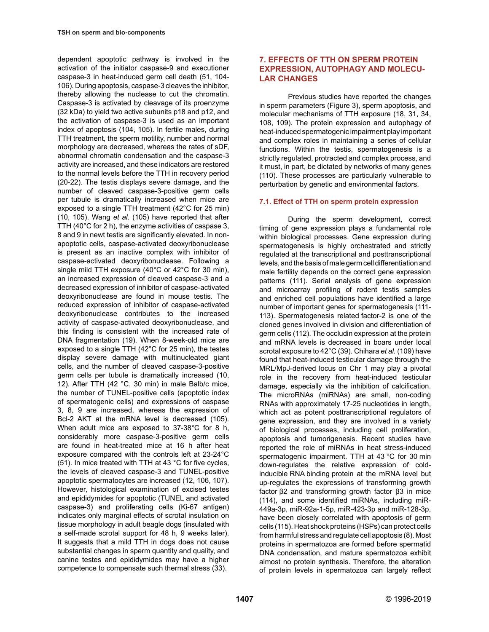dependent apoptotic pathway is involved in the activation of the initiator caspase-9 and executioner caspase-3 in heat-induced germ cell death (51, 104- 106). During apoptosis, caspase-3 cleaves the inhibitor, thereby allowing the nuclease to cut the chromatin. Caspase-3 is activated by cleavage of its proenzyme (32 kDa) to yield two active subunits p18 and p12, and the activation of caspase-3 is used as an important index of apoptosis (104, 105). In fertile males, during TTH treatment, the sperm motility, number and normal morphology are decreased, whereas the rates of sDF, abnormal chromatin condensation and the caspase-3 activity are increased, and these indicators are restored to the normal levels before the TTH in recovery period (20-22). The testis displays severe damage, and the number of cleaved caspase-3-positive germ cells per tubule is dramatically increased when mice are exposed to a single TTH treatment (42°C for 25 min) (10, 105). Wang *et al.* (105) have reported that after TTH (40°C for 2 h), the enzyme activities of caspase 3, 8 and 9 in newt testis are significantly elevated. In nonapoptotic cells, caspase-activated deoxyribonuclease is present as an inactive complex with inhibitor of caspase-activated deoxyribonuclease. Following a single mild TTH exposure (40°C or 42°C for 30 min), an increased expression of cleaved caspase-3 and a decreased expression of inhibitor of caspase-activated deoxyribonuclease are found in mouse testis. The reduced expression of inhibitor of caspase-activated deoxyribonuclease contributes to the increased activity of caspase-activated deoxyribonuclease, and this finding is consistent with the increased rate of DNA fragmentation (19). When 8-week-old mice are exposed to a single TTH (42°C for 25 min), the testes display severe damage with multinucleated giant cells, and the number of cleaved caspase-3-positive germ cells per tubule is dramatically increased (10, 12). After TTH (42 °C, 30 min) in male Balb/c mice, the number of TUNEL-positive cells (apoptotic index of spermatogenic cells) and expressions of caspase 3, 8, 9 are increased, whereas the expression of Bcl-2 AKT at the mRNA level is decreased (105). When adult mice are exposed to 37-38°C for 8 h. considerably more caspase-3-positive germ cells are found in heat-treated mice at 16 h after heat exposure compared with the controls left at 23-24°C (51). In mice treated with TTH at 43 °C for five cycles, the levels of cleaved caspase-3 and TUNEL-positive apoptotic spermatocytes are increased (12, 106, 107). However, histological examination of excised testes and epididymides for apoptotic (TUNEL and activated caspase-3) and proliferating cells (Ki-67 antigen) indicates only marginal effects of scrotal insulation on tissue morphology in adult beagle dogs (insulated with a self-made scrotal support for 48 h, 9 weeks later). It suggests that a mild TTH in dogs does not cause substantial changes in sperm quantity and quality, and canine testes and epididymides may have a higher competence to compensate such thermal stress (33).

# **7. EFFECTS OF TTH ON SPERM PROTEIN EXPRESSION, AUTOPHAGY AND MOLECU-LAR CHANGES**

Previous studies have reported the changes in sperm parameters (Figure 3), sperm apoptosis, and molecular mechanisms of TTH exposure (18, 31, 34, 108, 109). The protein expression and autophagy of heat-induced spermatogenic impairment play important and complex roles in maintaining a series of cellular functions. Within the testis, spermatogenesis is a strictly regulated, protracted and complex process, and it must, in part, be dictated by networks of many genes (110). These processes are particularly vulnerable to perturbation by genetic and environmental factors.

#### **7.1. Effect of TTH on sperm protein expression**

During the sperm development, correct timing of gene expression plays a fundamental role within biological processes. Gene expression during spermatogenesis is highly orchestrated and strictly regulated at the transcriptional and posttranscriptional levels, and the basis of male germ cell differentiation and male fertility depends on the correct gene expression patterns (111). Serial analysis of gene expression and microarray profiling of rodent testis samples and enriched cell populations have identified a large number of important genes for spermatogenesis (111- 113). Spermatogenesis related factor-2 is one of the cloned genes involved in division and differentiation of germ cells (112). The occludin expression at the protein and mRNA levels is decreased in boars under local scrotal exposure to 42°C (39). Chihara *et al.* (109) have found that heat-induced testicular damage through the MRL/MpJ-derived locus on Chr 1 may play a pivotal role in the recovery from heat-induced testicular damage, especially via the inhibition of calcification. The microRNAs (miRNAs) are small, non-coding RNAs with approximately 17-25 nucleotides in length, which act as potent posttranscriptional regulators of gene expression, and they are involved in a variety of biological processes, including cell proliferation, apoptosis and tumorigenesis. Recent studies have reported the role of miRNAs in heat stress-induced spermatogenic impairment. TTH at 43 °C for 30 min down-regulates the relative expression of coldinducible RNA binding protein at the mRNA level but up-regulates the expressions of transforming growth factor β2 and transforming growth factor β3 in mice (114), and some identified miRNAs, including miR-449a-3p, miR-92a-1-5p, miR-423-3p and miR-128-3p, have been closely correlated with apoptosis of germ cells (115). Heat shock proteins (HSPs) can protect cells from harmful stress and regulate cell apoptosis (8). Most proteins in spermatozoa are formed before spermatid DNA condensation, and mature spermatozoa exhibit almost no protein synthesis. Therefore, the alteration of protein levels in spermatozoa can largely reflect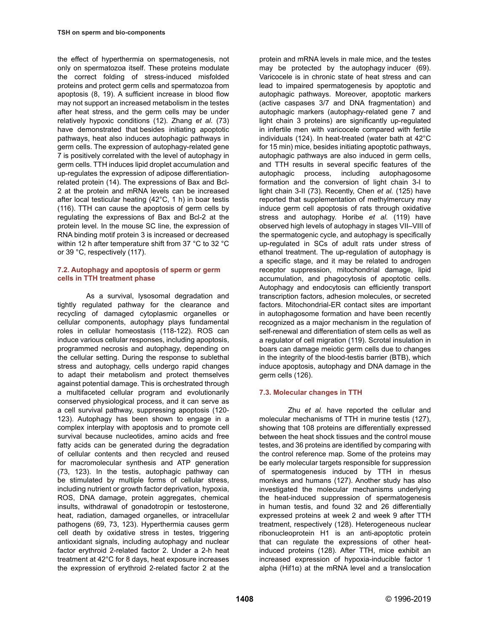the effect of hyperthermia on spermatogenesis, not only on spermatozoa itself. These proteins modulate the correct folding of stress-induced misfolded proteins and protect germ cells and spermatozoa from apoptosis (8, 19). A sufficient increase in blood flow may not support an increased metabolism in the testes after heat stress, and the germ cells may be under relatively hypoxic conditions (12). Zhang *et al.* (73) have demonstrated that besides initiating apoptotic pathways, heat also induces autophagic pathways in germ cells. The expression of autophagy-related gene 7 is positively correlated with the level of autophagy in germ cells. TTH induces lipid droplet accumulation and up-regulates the expression of adipose differentiationrelated protein (14). The expressions of Bax and Bcl-2 at the protein and mRNA levels can be increased after local testicular heating (42°C, 1 h) in boar testis (116). TTH can cause the apoptosis of germ cells by regulating the expressions of Bax and Bcl-2 at the protein level. In the mouse SC line, the expression of RNA binding motif protein 3 is increased or decreased within 12 h after temperature shift from 37 °C to 32 °C or 39 °C, respectively (117).

#### **7.2. Autophagy and apoptosis of sperm or germ cells in TTH treatment phase**

As a survival, lysosomal degradation and tightly regulated pathway for the clearance and recycling of damaged cytoplasmic organelles or cellular components, autophagy plays fundamental roles in cellular homeostasis (118-122). ROS can induce various cellular responses, including apoptosis, programmed necrosis and autophagy, depending on the cellular setting. During the response to sublethal stress and autophagy, cells undergo rapid changes to adapt their metabolism and protect themselves against potential damage. This is orchestrated through a multifaceted cellular program and evolutionarily conserved physiological process, and it can serve as a cell survival pathway, suppressing apoptosis (120- 123). Autophagy has been shown to engage in a complex interplay with apoptosis and to promote cell survival because nucleotides, amino acids and free fatty acids can be generated during the degradation of cellular contents and then recycled and reused for macromolecular synthesis and ATP generation (73, 123). In the testis, autophagic pathway can be stimulated by multiple forms of cellular stress, including nutrient or growth factor deprivation, hypoxia, ROS, DNA damage, protein aggregates, chemical insults, withdrawal of gonadotropin or testosterone, heat, radiation, damaged organelles, or intracellular pathogens (69, 73, 123). Hyperthermia causes germ cell death by oxidative stress in testes, triggering antioxidant signals, including autophagy and nuclear factor erythroid 2-related factor 2. Under a 2-h heat treatment at 42°C for 8 days, heat exposure increases the expression of erythroid 2-related factor 2 at the

protein and mRNA levels in male mice, and the testes may be protected by the autophagy inducer (69). Varicocele is in chronic state of heat stress and can lead to impaired spermatogenesis by apoptotic and autophagic pathways. Moreover, apoptotic markers (active caspases 3/7 and DNA fragmentation) and autophagic markers (autophagy-related gene 7 and light chain 3 proteins) are significantly up-regulated in infertile men with varicocele compared with fertile individuals (124). In heat-treated (water bath at 42°C for 15 min) mice, besides initiating apoptotic pathways, autophagic pathways are also induced in germ cells, and TTH results in several specific features of the autophagic process, including autophagosome formation and the conversion of light chain 3-I to light chain 3-II (73). Recently, Chen *et al.* (125) have reported that supplementation of methylmercury may induce germ cell apoptosis of rats through oxidative stress and autophagy. Horibe *et al.* (119) have observed high levels of autophagy in stages VII–VIII of the spermatogenic cycle, and autophagy is specifically up-regulated in SCs of adult rats under stress of ethanol treatment. The up-regulation of autophagy is a specific stage, and it may be related to androgen receptor suppression, mitochondrial damage, lipid accumulation, and phagocytosis of apoptotic cells. Autophagy and endocytosis can efficiently transport transcription factors, adhesion molecules, or secreted factors. Mitochondrial-ER contact sites are important in autophagosome formation and have been recently recognized as a major mechanism in the regulation of self-renewal and differentiation of stem cells as well as a regulator of cell migration (119). Scrotal insulation in boars can damage meiotic germ cells due to changes in the integrity of the blood-testis barrier (BTB), which induce apoptosis, autophagy and DNA damage in the germ cells (126).

# **7.3. Molecular changes in TTH**

Zhu *et al.* have reported the cellular and molecular mechanisms of TTH in murine testis (127), showing that 108 proteins are differentially expressed between the heat shock tissues and the control mouse testes, and 36 proteins are identified by comparing with the control reference map. Some of the proteins may be early molecular targets responsible for suppression of spermatogenesis induced by TTH in rhesus monkeys and humans (127). Another study has also investigated the molecular mechanisms underlying the heat-induced suppression of spermatogenesis in human testis, and found 32 and 26 differentially expressed proteins at week 2 and week 9 after TTH treatment, respectively (128). Heterogeneous nuclear ribonucleoprotein H1 is an anti-apoptotic protein that can regulate the expressions of other heatinduced proteins (128). After TTH, mice exhibit an increased expression of hypoxia-inducible factor 1 alpha (Hif1 $\alpha$ ) at the mRNA level and a translocation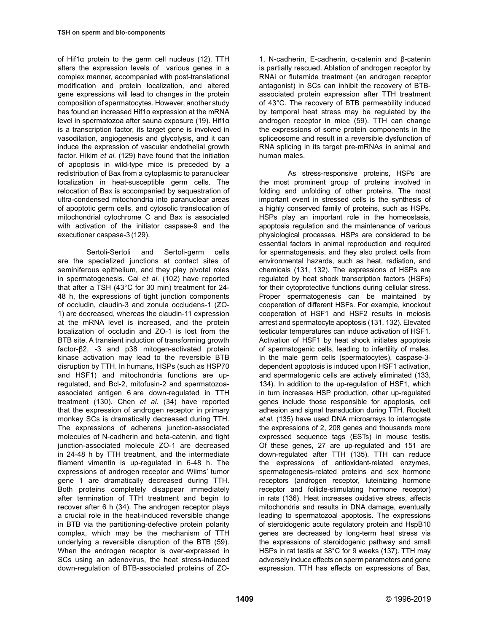of Hif1α protein to the germ cell nucleus (12). TTH alters the expression levels of various genes in a complex manner, accompanied with post-translational modification and protein localization, and altered gene expressions will lead to changes in the protein composition of spermatocytes. However, another study has found an increased Hif1α expression at the mRNA level in spermatozoa after sauna exposure (19). Hif1α is a transcription factor, its target gene is involved in vasodilation, angiogenesis and glycolysis, and it can induce the expression of vascular endothelial growth factor. Hikim *et al.* (129) have found that the initiation of apoptosis in wild-type mice is preceded by a redistribution of Bax from a cytoplasmic to paranuclear localization in heat-susceptible germ cells. The relocation of Bax is accompanied by sequestration of ultra-condensed mitochondria into paranuclear areas of apoptotic germ cells, and cytosolic translocation of mitochondrial cytochrome C and Bax is associated with activation of the initiator caspase-9 and the executioner caspase-3 (129).

Sertoli-Sertoli and Sertoli-germ cells are the specialized junctions at contact sites of seminiferous epithelium, and they play pivotal roles in spermatogenesis. Cai *et al.* (102) have reported that after a TSH (43°C for 30 min) treatment for 24- 48 h, the expressions of tight junction components of occludin, claudin-3 and zonula occludens-1 (ZO-1) are decreased, whereas the claudin-11 expression at the mRNA level is increased, and the protein localization of occludin and ZO-1 is lost from the BTB site. A transient induction of transforming growth factor-β2, -3 and p38 mitogen-activated protein kinase activation may lead to the reversible BTB disruption by TTH. In humans, HSPs (such as HSP70 and HSF1) and mitochondria functions are upregulated, and Bcl-2, mitofusin-2 and spermatozoaassociated antigen 6 are down-regulated in TTH treatment (130). Chen *et al.* (34) have reported that the expression of androgen receptor in primary monkey SCs is dramatically decreased during TTH. The expressions of adherens junction-associated molecules of N-cadherin and beta-catenin, and tight junction-associated molecule ZO-1 are decreased in 24-48 h by TTH treatment, and the intermediate filament vimentin is up-regulated in 6-48 h. The expressions of androgen receptor and Wilms' tumor gene 1 are dramatically decreased during TTH. Both proteins completely disappear immediately after termination of TTH treatment and begin to recover after 6 h (34). The androgen receptor plays a crucial role in the heat-induced reversible change in BTB via the partitioning-defective protein polarity complex, which may be the mechanism of TTH underlying a reversible disruption of the BTB (59). When the androgen receptor is over-expressed in SCs using an adenovirus, the heat stress-induced down-regulation of BTB-associated proteins of ZO- 1, N-cadherin, E-cadherin, α-catenin and β-catenin is partially rescued. Ablation of androgen receptor by RNAi or flutamide treatment (an androgen receptor antagonist) in SCs can inhibit the recovery of BTBassociated protein expression after TTH treatment of 43°C. The recovery of BTB permeability induced by temporal heat stress may be regulated by the androgen receptor in mice (59). TTH can change the expressions of some protein components in the spliceosome and result in a reversible dysfunction of RNA splicing in its target pre-mRNAs in animal and human males.

As stress-responsive proteins, HSPs are the most prominent group of proteins involved in folding and unfolding of other proteins. The most important event in stressed cells is the synthesis of a highly conserved family of proteins, such as HSPs. HSPs play an important role in the homeostasis, apoptosis regulation and the maintenance of various physiological processes. HSPs are considered to be essential factors in animal reproduction and required for spermatogenesis, and they also protect cells from environmental hazards, such as heat, radiation, and chemicals (131, 132). The expressions of HSPs are regulated by heat shock transcription factors (HSFs) for their cytoprotective functions during cellular stress. Proper spermatogenesis can be maintained by cooperation of different HSFs. For example, knockout cooperation of HSF1 and HSF2 results in meiosis arrest and spermatocyte apoptosis (131, 132). Elevated testicular temperatures can induce activation of HSF1. Activation of HSF1 by heat shock initiates apoptosis of spermatogenic cells, leading to infertility of males. In the male germ cells (spermatocytes), caspase-3 dependent apoptosis is induced upon HSF1 activation, and spermatogenic cells are actively eliminated (133, 134). In addition to the up-regulation of HSF1, which in turn increases HSP production, other up-regulated genes include those responsible for apoptosis, cell adhesion and signal transduction during TTH. Rockett *et al.* (135) have used DNA microarrays to interrogate the expressions of 2, 208 genes and thousands more expressed sequence tags (ESTs) in mouse testis. Of these genes, 27 are up-regulated and 151 are down-regulated after TTH (135). TTH can reduce the expressions of antioxidant-related enzymes, spermatogenesis-related proteins and sex hormone receptors (androgen receptor, luteinizing hormone receptor and follicle-stimulating hormone receptor) in rats (136). Heat increases oxidative stress, affects mitochondria and results in DNA damage, eventually leading to spermatozoal apoptosis. The expressions of steroidogenic acute regulatory protein and HspB10 genes are decreased by long-term heat stress via the expressions of steroidogenic pathway and small HSPs in rat testis at 38°C for 9 weeks (137). TTH may adversely induce effects on sperm parameters and gene expression. TTH has effects on expressions of Bax,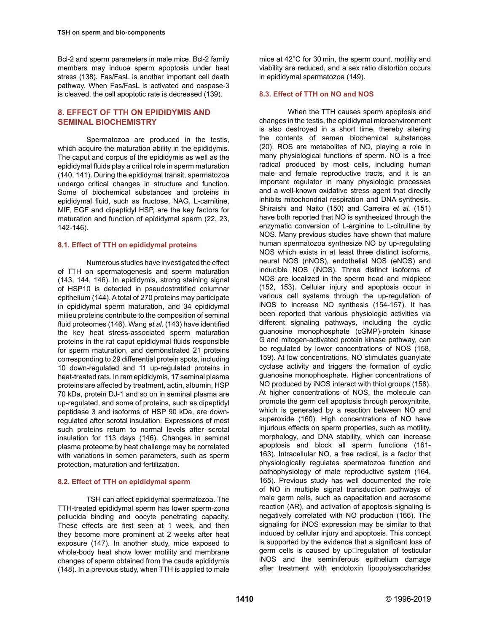Bcl-2 and sperm parameters in male mice. Bcl-2 family members may induce sperm apoptosis under heat stress (138). Fas/FasL is another important cell death pathway. When Fas/FasL is activated and caspase-3 is cleaved, the cell apoptotic rate is decreased (139).

# **8. EFFECT OF TTH ON EPIDIDYMIS AND SEMINAL BIOCHEMISTRY**

Spermatozoa are produced in the testis, which acquire the maturation ability in the epididymis. The caput and corpus of the epididymis as well as the epididymal fluids play a critical role in sperm maturation (140, 141). During the epididymal transit, spermatozoa undergo critical changes in structure and function. Some of biochemical substances and proteins in epididymal fluid, such as fructose, NAG, L-carnitine, MIF, EGF and dipeptidyl HSP, are the key factors for maturation and function of epididymal sperm (22, 23, 142-146).

### **8.1. Effect of TTH on epididymal proteins**

Numerous studies have investigated the effect of TTH on spermatogenesis and sperm maturation (143, 144, 146). In epididymis, strong staining signal of HSP10 is detected in pseudostratified columnar epithelium (144). A total of 270 proteins may participate in epididymal sperm maturation, and 34 epididymal milieu proteins contribute to the composition of seminal fluid proteomes (146). Wang *et al.* (143) have identified the key heat stress-associated sperm maturation proteins in the rat caput epididymal fluids responsible for sperm maturation, and demonstrated 21 proteins corresponding to 29 differential protein spots, including 10 down-regulated and 11 up-regulated proteins in heat-treated rats. In ram epididymis, 17 seminal plasma proteins are affected by treatment, actin, albumin, HSP 70 kDa, protein DJ-1 and so on in seminal plasma are up-regulated, and some of proteins, such as dipeptidyl peptidase 3 and isoforms of HSP 90 kDa, are downregulated after scrotal insulation. Expressions of most such proteins return to normal levels after scrotal insulation for 113 days (146). Changes in seminal plasma proteome by heat challenge may be correlated with variations in semen parameters, such as sperm protection, maturation and fertilization.

### **8.2. Effect of TTH on epididymal sperm**

TSH can affect epididymal spermatozoa. The TTH-treated epididymal sperm has lower sperm-zona pellucida binding and oocyte penetrating capacity. These effects are first seen at 1 week, and then they become more prominent at 2 weeks after heat exposure (147). In another study, mice exposed to whole-body heat show lower motility and membrane changes of sperm obtained from the cauda epididymis (148). In a previous study, when TTH is applied to male mice at 42°C for 30 min, the sperm count, motility and viability are reduced, and a sex ratio distortion occurs in epididymal spermatozoa (149).

# **8.3. Effect of TTH on NO and NOS**

When the TTH causes sperm apoptosis and changes in the testis, the epididymal microenvironment is also destroyed in a short time, thereby altering the contents of semen biochemical substances (20). ROS are metabolites of NO, playing a role in many physiological functions of sperm. NO is a free radical produced by most cells, including human male and female reproductive tracts, and it is an important regulator in many physiologic processes and a well-known oxidative stress agent that directly inhibits mitochondrial respiration and DNA synthesis. Shiraishi and Naito (150) and Carreira *et al.* (151) have both reported that NO is synthesized through the enzymatic conversion of L-arginine to L-citrulline by NOS. Many previous studies have shown that mature human spermatozoa synthesize NO by up-regulating NOS which exists in at least three distinct isoforms, neural NOS (nNOS), endothelial NOS (eNOS) and inducible NOS (iNOS). Three distinct isoforms of NOS are localized in the sperm head and midpiece (152, 153). Cellular injury and apoptosis occur in various cell systems through the up-regulation of iNOS to increase NO synthesis (154-157). It has been reported that various physiologic activities via different signaling pathways, including the cyclic guanosine monophosphate (cGMP)-protein kinase G and mitogen-activated protein kinase pathway, can be regulated by lower concentrations of NOS (158, 159). At low concentrations, NO stimulates guanylate cyclase activity and triggers the formation of cyclic guanosine monophosphate. Higher concentrations of NO produced by iNOS interact with thiol groups (158). At higher concentrations of NOS, the molecule can promote the germ cell apoptosis through peroxynitrite, which is generated by a reaction between NO and superoxide (160). High concentrations of NO have injurious effects on sperm properties, such as motility, morphology, and DNA stability, which can increase apoptosis and block all sperm functions (161- 163). Intracellular NO, a free radical, is a factor that physiologically regulates spermatozoa function and pathophysiology of male reproductive system (164, 165). Previous study has well documented the role of NO in multiple signal transduction pathways of male germ cells, such as capacitation and acrosome reaction (AR), and activation of apoptosis signaling is negatively correlated with NO production (166). The signaling for iNOS expression may be similar to that induced by cellular injury and apoptosis. This concept is supported by the evidence that a significant loss of  $q$ erm cells is caused by up $\square$  requlation of testicular iNOS and the seminiferous epithelium damage after treatment with endotoxin lipopolysaccharides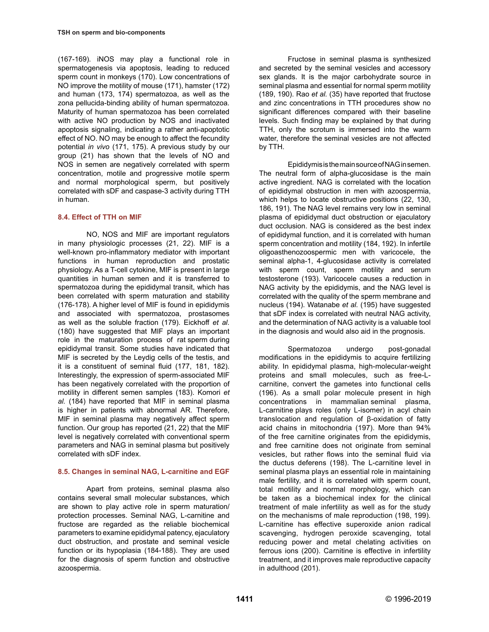(167-169). iNOS may play a functional role in spermatogenesis via apoptosis, leading to reduced sperm count in monkeys (170). Low concentrations of NO improve the motility of mouse (171), hamster (172) and human (173, 174) spermatozoa, as well as the zona pellucida-binding ability of human spermatozoa. Maturity of human spermatozoa has been correlated with active NO production by NOS and inactivated apoptosis signaling, indicating a rather anti-apoptotic effect of NO. NO may be enough to affect the fecundity potential *in vivo* (171, 175). A previous study by our group (21) has shown that the levels of NO and NOS in semen are negatively correlated with sperm concentration, motile and progressive motile sperm and normal morphological sperm, but positively correlated with sDF and caspase-3 activity during TTH in human.

### **8.4. Effect of TTH on MIF**

NO, NOS and MIF are important regulators in many physiologic processes (21, 22). MIF is a well-known pro-inflammatory mediator with important functions in human reproduction and prostatic physiology. As a T-cell cytokine, MIF is present in large quantities in human semen and it is transferred to spermatozoa during the epididymal transit, which has been correlated with sperm maturation and stability (176-178). A higher level of MIF is found in epididymis and associated with spermatozoa, prostasomes as well as the soluble fraction (179). Eickhoff *et al.* (180) have suggested that MIF plays an important role in the maturation process of rat sperm during epididymal transit. Some studies have indicated that MIF is secreted by the Leydig cells of the testis, and it is a constituent of seminal fluid (177, 181, 182). Interestingly, the expression of sperm-associated MIF has been negatively correlated with the proportion of motility in different semen samples (183). Komori *et al.* (184) have reported that MIF in seminal plasma is higher in patients with abnormal AR. Therefore, MIF in seminal plasma may negatively affect sperm function. Our group has reported (21, 22) that the MIF level is negatively correlated with conventional sperm parameters and NAG in seminal plasma but positively correlated with sDF index.

#### **8.5. Changes in seminal NAG, L-carnitine and EGF**

Apart from proteins, seminal plasma also contains several small molecular substances, which are shown to play active role in sperm maturation/ protection processes. Seminal NAG, L-carnitine and fructose are regarded as the reliable biochemical parameters to examine epididymal patency, ejaculatory duct obstruction, and prostate and seminal vesicle function or its hypoplasia (184-188). They are used for the diagnosis of sperm function and obstructive azoospermia.

Fructose in seminal plasma is synthesized and secreted by the seminal vesicles and accessory sex glands. It is the major carbohydrate source in seminal plasma and essential for normal sperm motility (189, 190). Rao *et al.* (35) have reported that fructose and zinc concentrations in TTH procedures show no significant differences compared with their baseline levels. Such finding may be explained by that during TTH, only the scrotum is immersed into the warm water, therefore the seminal vesicles are not affected by TTH.

Epididymis is the main source of NAG in semen. The neutral form of alpha-glucosidase is the main active ingredient. NAG is correlated with the location of epididymal obstruction in men with azoospermia, which helps to locate obstructive positions (22, 130, 186, 191). The NAG level remains very low in seminal plasma of epididymal duct obstruction or ejaculatory duct occlusion. NAG is considered as the best index of epididymal function, and it is correlated with human sperm concentration and motility (184, 192). In infertile oligoasthenozoospermic men with varicocele, the seminal alpha-1, 4-glucosidase activity is correlated with sperm count, sperm motility and serum testosterone (193). Varicocele causes a reduction in NAG activity by the epididymis, and the NAG level is correlated with the quality of the sperm membrane and nucleus (194). Watanabe *et al.* (195) have suggested that sDF index is correlated with neutral NAG activity, and the determination of NAG activity is a valuable tool in the diagnosis and would also aid in the prognosis.

Spermatozoa undergo post-gonadal modifications in the epididymis to acquire fertilizing ability. In epididymal plasma, high-molecular-weight proteins and small molecules, such as free-Lcarnitine, convert the gametes into functional cells (196). As a small polar molecule present in high concentrations in mammalian seminal plasma, L-carnitine plays roles (only L-isomer) in acyl chain translocation and regulation of β-oxidation of fatty acid chains in mitochondria (197). More than 94% of the free carnitine originates from the epididymis, and free carnitine does not originate from seminal vesicles, but rather flows into the seminal fluid via the ductus deferens (198). The L-carnitine level in seminal plasma plays an essential role in maintaining male fertility, and it is correlated with sperm count, total motility and normal morphology, which can be taken as a biochemical index for the clinical treatment of male infertility as well as for the study on the mechanisms of male reproduction (198, 199). L-carnitine has effective superoxide anion radical scavenging, hydrogen peroxide scavenging, total reducing power and metal chelating activities on ferrous ions (200). Carnitine is effective in infertility treatment, and it improves male reproductive capacity in adulthood (201).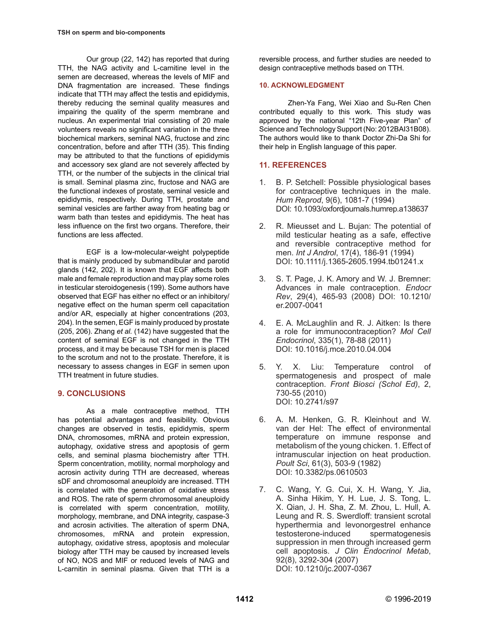Our group (22, 142) has reported that during TTH, the NAG activity and L-carnitine level in the semen are decreased, whereas the levels of MIF and DNA fragmentation are increased. These findings indicate that TTH may affect the testis and epididymis, thereby reducing the seminal quality measures and impairing the quality of the sperm membrane and nucleus. An experimental trial consisting of 20 male volunteers reveals no significant variation in the three biochemical markers, seminal NAG, fructose and zinc concentration, before and after TTH (35). This finding may be attributed to that the functions of epididymis and accessory sex gland are not severely affected by TTH, or the number of the subjects in the clinical trial is small. Seminal plasma zinc, fructose and NAG are the functional indexes of prostate, seminal vesicle and epididymis, respectively. During TTH, prostate and seminal vesicles are farther away from heating bag or warm bath than testes and epididymis. The heat has less influence on the first two organs. Therefore, their functions are less affected.

EGF is a low-molecular-weight polypeptide that is mainly produced by submandibular and parotid glands (142, 202). It is known that EGF affects both male and female reproduction and may play some roles in testicular steroidogenesis (199). Some authors have observed that EGF has either no effect or an inhibitory/ negative effect on the human sperm cell capacitation and/or AR, especially at higher concentrations (203, 204). In the semen, EGF is mainly produced by prostate (205, 206). Zhang *et al.* (142) have suggested that the content of seminal EGF is not changed in the TTH process, and it may be because TSH for men is placed to the scrotum and not to the prostate. Therefore, it is necessary to assess changes in EGF in semen upon TTH treatment in future studies.

# **9. CONCLUSIONS**

As a male contraceptive method, TTH has potential advantages and feasibility. Obvious changes are observed in testis, epididymis, sperm DNA, chromosomes, mRNA and protein expression, autophagy, oxidative stress and apoptosis of germ cells, and seminal plasma biochemistry after TTH. Sperm concentration, motility, normal morphology and acrosin activity during TTH are decreased, whereas sDF and chromosomal aneuploidy are increased. TTH is correlated with the generation of oxidative stress and ROS. The rate of sperm chromosomal aneuploidy is correlated with sperm concentration, motility, morphology, membrane, and DNA integrity, caspase-3 and acrosin activities. The alteration of sperm DNA, chromosomes, mRNA and protein expression, autophagy, oxidative stress, apoptosis and molecular biology after TTH may be caused by increased levels of NO, NOS and MIF or reduced levels of NAG and L-carnitin in seminal plasma. Given that TTH is a reversible process, and further studies are needed to design contraceptive methods based on TTH.

## **10. ACKNOWLEDGMENT**

Zhen-Ya Fang, Wei Xiao and Su-Ren Chen contributed equally to this work. This study was approved by the national "12th Five-year Plan" of Science and Technology Support (No: 2012BAI31B08). The authors would like to thank Doctor Zhi-Da Shi for their help in English language of this paper.

# **11. REFERENCES**

- 1. B. P. Setchell: Possible physiological bases for contraceptive techniques in the male. *Hum Reprod*, 9(6), 1081-7 (1994) [DOI: 10.1093/oxfordjournals.humrep.a138637](https://doi:10.1093/oxfordjournals.humrep.a138637)
- 2. R. Mieusset and L. Bujan: The potential of mild testicular heating as a safe, effective and reversible contraceptive method for men. *Int J Androl*, 17(4), 186-91 (1994) [DOI: 10.1111/j.1365-2605.1994.tb01241.x](https://doi:10.1111/j.1365-2605.1994.tb01241.x)
- 3. S. T. Page, J. K. Amory and W. J. Bremner: Advances in male contraception. *Endocr Rev*, 29(4), 465-93 (2008) [DOI: 10.1210/](https://doi:10.1210/er.2007-0041) [er.2007-0041](https://doi:10.1210/er.2007-0041)
- 4. E. A. McLaughlin and R. J. Aitken: Is there a role for immunocontraception? *Mol Cell Endocrinol*, 335(1), 78-88 (2011) [DOI: 10.1016/j.mce.2010.04.004](https://doi:10.1016/j.mce.2010.04.004)
- 5. Y. X. Liu: Temperature control of spermatogenesis and prospect of male contraception. *Front Biosci (Schol Ed)*, 2, 730-55 (2010) [DOI: 10.2741/s97](https://doi:10.2741/s97)
- 6. A. M. Henken, G. R. Kleinhout and W. van der Hel: The effect of environmental temperature on immune response and metabolism of the young chicken. 1. Effect of intramuscular injection on heat production. *Poult Sci*, 61(3), 503-9 (1982) [DOI: 10.3382/ps.0610503](https://doi:10.3382/ps.0610503)
- 7. C. Wang, Y. G. Cui, X. H. Wang, Y. Jia, A. Sinha Hikim, Y. H. Lue, J. S. Tong, L. X. Qian, J. H. Sha, Z. M. Zhou, L. Hull, A. Leung and R. S. Swerdloff: transient scrotal hyperthermia and levonorgestrel enhance testosterone-induced spermatogenesis suppression in men through increased germ cell apoptosis. *J Clin Endocrinol Metab*, 92(8), 3292-304 (2007) [DOI: 10.1210/jc.2007-0367](https://doi:10.1210/jc.2007-0367)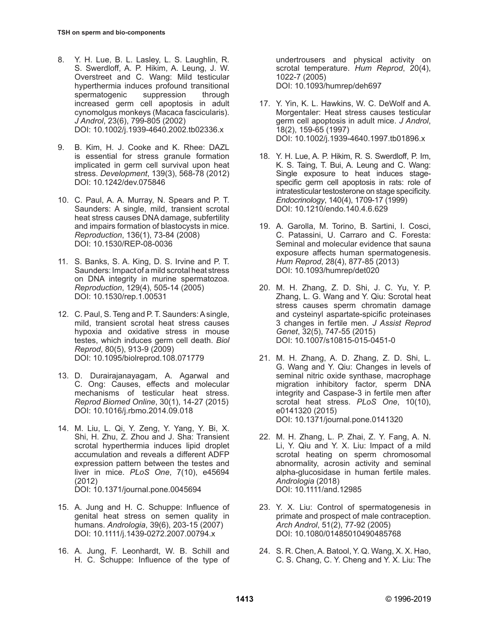- 8. Y. H. Lue, B. L. Lasley, L. S. Laughlin, R. S. Swerdloff, A. P. Hikim, A. Leung, J. W. Overstreet and C. Wang: Mild testicular hyperthermia induces profound transitional spermatogenic suppression through increased germ cell apoptosis in adult cynomolgus monkeys (Macaca fascicularis). *J Androl*, 23(6), 799-805 (2002) [DOI: 10.1002/j.1939-4640.2002.tb02336.x](https://doi:10.1002/j.1939-4640.2002.tb02336.x)
- 9. B. Kim, H. J. Cooke and K. Rhee: DAZL is essential for stress granule formation implicated in germ cell survival upon heat stress. *Development*, 139(3), 568-78 (2012) [DOI: 10.1242/dev.075846](https://doi:10.1242/dev.075846)
- 10. C. Paul, A. A. Murray, N. Spears and P. T. Saunders: A single, mild, transient scrotal heat stress causes DNA damage, subfertility and impairs formation of blastocysts in mice. *Reproduction*, 136(1), 73-84 (2008) [DOI: 10.1530/REP-08-0036](https://doi:10.1530/REP-08-0036)
- 11. S. Banks, S. A. King, D. S. Irvine and P. T. Saunders: Impact of a mild scrotal heat stress on DNA integrity in murine spermatozoa. *Reproduction*, 129(4), 505-14 (2005) [DOI: 10.1530/rep.1.00531](https://doi:10.1530/rep.1.00531)
- 12. C. Paul, S. Teng and P. T. Saunders: A single, mild, transient scrotal heat stress causes hypoxia and oxidative stress in mouse testes, which induces germ cell death. *Biol Reprod*, 80(5), 913-9 (2009) [DOI: 10.1095/biolreprod.108.071779](https://doi:10.1095/biolreprod.108.071779)
- 13. D. Durairajanayagam, A. Agarwal and C. Ong: Causes, effects and molecular mechanisms of testicular heat stress. *Reprod Biomed Online*, 30(1), 14-27 (2015) [DOI: 10.1016/j.rbmo.2014.09.018](https://doi:10.1016/j.rbmo.2014.09.018)
- 14. M. Liu, L. Qi, Y. Zeng, Y. Yang, Y. Bi, X. Shi, H. Zhu, Z. Zhou and J. Sha: Transient scrotal hyperthermia induces lipid droplet accumulation and reveals a different ADFP expression pattern between the testes and liver in mice. *PLoS One*, 7(10), e45694 (2012) [DOI: 10.1371/journal.pone.0045694](https://doi:10.1371/journal.pone.0045694)
- 15. A. Jung and H. C. Schuppe: Influence of genital heat stress on semen quality in humans. *Andrologia*, 39(6), 203-15 (2007) [DOI: 10.1111/j.1439-0272.2007.00794.x](https://doi:10.1111/j.1439-0272.2007.00794.x)
- 16. A. Jung, F. Leonhardt, W. B. Schill and H. C. Schuppe: Influence of the type of

undertrousers and physical activity on scrotal temperature. *Hum Reprod*, 20(4), 1022-7 (2005) [DOI: 10.1093/humrep/deh697](https://doi:10.1093/humrep/deh697)

- 17. Y. Yin, K. L. Hawkins, W. C. DeWolf and A. Morgentaler: Heat stress causes testicular germ cell apoptosis in adult mice. *J Androl*, 18(2), 159-65 (1997) [DOI: 10.1002/j.1939-4640.1997.tb01896.x](https://doi:10.1002/j.1939-4640.1997.tb01896.x)
- 18. Y. H. Lue, A. P. Hikim, R. S. Swerdloff, P. Im, K. S. Taing, T. Bui, A. Leung and C. Wang: Single exposure to heat induces stagespecific germ cell apoptosis in rats: role of intratesticular testosterone on stage specificity. *Endocrinology*, 140(4), 1709-17 (1999) [DOI: 10.1210/endo.140.4.6.629](https://doi:10.1210/endo.140.4.6.629)
- 19. A. Garolla, M. Torino, B. Sartini, I. Cosci, C. Patassini, U. Carraro and C. Foresta: Seminal and molecular evidence that sauna exposure affects human spermatogenesis. *Hum Reprod*, 28(4), 877-85 (2013) [DOI: 10.1093/humrep/det020](https://doi:10.1093/humrep/det020)
- 20. M. H. Zhang, Z. D. Shi, J. C. Yu, Y. P. Zhang, L. G. Wang and Y. Qiu: Scrotal heat stress causes sperm chromatin damage and cysteinyl aspartate-spicific proteinases 3 changes in fertile men. *J Assist Reprod Genet*, 32(5), 747-55 (2015) [DOI: 10.1007/s10815-015-0451-0](https://doi:10.1007/s10815-015-0451-0)
- 21. M. H. Zhang, A. D. Zhang, Z. D. Shi, L. G. Wang and Y. Qiu: Changes in levels of seminal nitric oxide synthase, macrophage migration inhibitory factor, sperm DNA integrity and Caspase-3 in fertile men after scrotal heat stress. *PLoS One*, 10(10), e0141320 (2015) [DOI: 10.1371/journal.pone.0141320](https://doi:10.1371/journal.pone.0141320)
- 22. M. H. Zhang, L. P. Zhai, Z. Y. Fang, A. N. Li, Y. Qiu and Y. X. Liu: Impact of a mild scrotal heating on sperm chromosomal abnormality, acrosin activity and seminal alpha-glucosidase in human fertile males. *Andrologia* (2018) [DOI: 10.1111/and.12985](https://doi:10.1111/and.12985)
- 23. Y. X. Liu: Control of spermatogenesis in primate and prospect of male contraception. *Arch Androl*, 51(2), 77-92 (2005) [DOI: 10.1080/01485010490485768](https://doi:10.1080/01485010490485768)
- 24. S. R. Chen, A. Batool, Y. Q. Wang, X. X. Hao, C. S. Chang, C. Y. Cheng and Y. X. Liu: The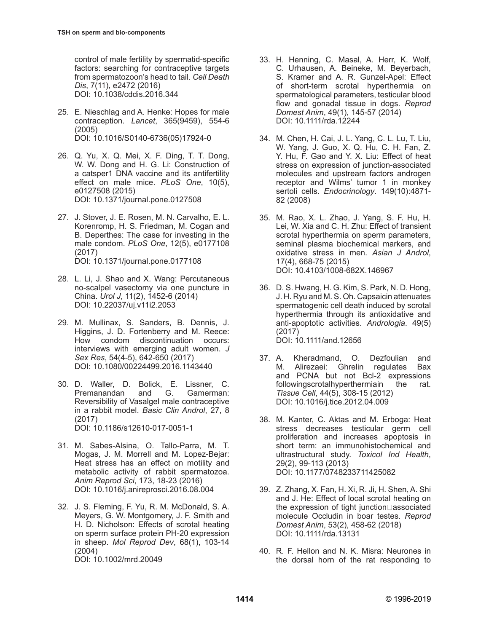control of male fertility by spermatid-specific factors: searching for contraceptive targets from spermatozoon's head to tail. *Cell Death Dis*, 7(11), e2472 (2016) [DOI: 10.1038/cddis.2016.344](https://doi:10.1038/cddis.2016.344)

- 25. E. Nieschlag and A. Henke: Hopes for male contraception. *Lancet*, 365(9459), 554-6 (2005) [DOI: 10.1016/S0140-6736\(05\)17924-0](https://doi:10.1016/S0140-6736(05)17924-0)
- 26. Q. Yu, X. Q. Mei, X. F. Ding, T. T. Dong, W. W. Dong and H. G. Li: Construction of a catsper1 DNA vaccine and its antifertility effect on male mice. *PLoS One*, 10(5), e0127508 (2015) [DOI: 10.1371/journal.pone.0127508](https://doi:10.1371/journal.pone.0127508)
- 27. J. Stover, J. E. Rosen, M. N. Carvalho, E. L. Korenromp, H. S. Friedman, M. Cogan and B. Deperthes: The case for investing in the male condom. *PLoS One*, 12(5), e0177108 (2017) [DOI: 10.1371/journal.pone.0177108](https://doi:10.1371/journal.pone.0177108)
- 28. L. Li, J. Shao and X. Wang: Percutaneous no-scalpel vasectomy via one puncture in China. *Urol J*, 11(2), 1452-6 (2014) [DOI: 10.22037/uj.v11i2.2053](https://doi:10.22037/uj.v11i2.2053)
- 29. M. Mullinax, S. Sanders, B. Dennis, J. Higgins, J. D. Fortenberry and M. Reece: How condom discontinuation occurs: interviews with emerging adult women. *J Sex Res*, 54(4-5), 642-650 (2017) [DOI: 10.1080/00224499.2016.1143440](https://doi:10.1080/00224499.2016.1143440)
- 30. D. Waller, D. Bolick, E. Lissner, C. Premanandan Reversibility of Vasalgel male contraceptive in a rabbit model. *Basic Clin Androl*, 27, 8 (2017) [DOI: 10.1186/s12610-017-0051-1](https://doi:10.1186/s12610-017-0051-1)
- 31. M. Sabes-Alsina, O. Tallo-Parra, M. T. Mogas, J. M. Morrell and M. Lopez-Bejar: Heat stress has an effect on motility and metabolic activity of rabbit spermatozoa. *Anim Reprod Sci*, 173, 18-23 (2016) [DOI: 10.1016/j.anireprosci.2016.08.004](https://doi:10.1016/j.anireprosci.2016.08.004)
- 32. J. S. Fleming, F. Yu, R. M. McDonald, S. A. Meyers, G. W. Montgomery, J. F. Smith and H. D. Nicholson: Effects of scrotal heating on sperm surface protein PH-20 expression in sheep. *Mol Reprod Dev*, 68(1), 103-14 (2004) [DOI: 10.1002/mrd.20049](https://doi:10.1002/mrd.20049)
- 33. H. Henning, C. Masal, A. Herr, K. Wolf, C. Urhausen, A. Beineke, M. Beyerbach, S. Kramer and A. R. Gunzel-Apel: Effect of short-term scrotal hyperthermia on spermatological parameters, testicular blood flow and gonadal tissue in dogs. *Reprod Domest Anim*, 49(1), 145-57 (2014) [DOI: 10.1111/rda.12244](https://doi:10.1111/rda.12244)
- 34. M. Chen, H. Cai, J. L. Yang, C. L. Lu, T. Liu, W. Yang, J. Guo, X. Q. Hu, C. H. Fan, Z. Y. Hu, F. Gao and Y. X. Liu: Effect of heat stress on expression of junction-associated molecules and upstream factors androgen receptor and Wilms' tumor 1 in monkey sertoli cells. *Endocrinology*. 149(10):4871- 82 (2008)
- 35. M. Rao, X. L. Zhao, J. Yang, S. F. Hu, H. Lei, W. Xia and C. H. Zhu: Effect of transient scrotal hyperthermia on sperm parameters, seminal plasma biochemical markers, and oxidative stress in men. *Asian J Androl*, 17(4), 668-75 (2015) [DOI: 10.4103/1008-682X.146967](https://doi:10.4103/1008-682X.146967)
- 36. D. S. Hwang, H. G. Kim, S. Park, N. D. Hong, J. H. Ryu and M. S. Oh. Capsaicin attenuates spermatogenic cell death induced by scrotal hyperthermia through its antioxidative and anti-apoptotic activities. *Andrologia*. 49(5) (2017) [DOI: 10.1111/and.12656](https://doi:10.1111/and.12656)
- 37. A. Kheradmand, O. Dezfoulian and M. Alirezaei: Ghrelin regulates Bax and PCNA but not Bcl-2 expressions followingscrotalhyperthermiain the rat. *Tissue Cell*, 44(5), 308-15 (2012) [DOI: 10.1016/j.tice.2012.04.009](https://doi:10.1016/j.tice.2012.04.009)
- 38. M. Kanter, C. Aktas and M. Erboga: Heat stress decreases testicular germ cell proliferation and increases apoptosis in short term: an immunohistochemical and ultrastructural study. *Toxicol Ind Health*, 29(2), 99-113 (2013) [DOI: 10.1177/0748233711425082](https://doi:10.1177/0748233711425082)
- 39. Z. Zhang, X. Fan, H. Xi, R. Ji, H. Shen, A. Shi and J. He: Effect of local scrotal heating on the expression of tight junction  $\Box$ associated molecule Occludin in boar testes. *Reprod Domest Anim*, 53(2), 458-62 (2018) [DOI: 10.1111/rda.13131](https://doi:10.1111/rda.13131)
- 40. R. F. Hellon and N. K. Misra: Neurones in the dorsal horn of the rat responding to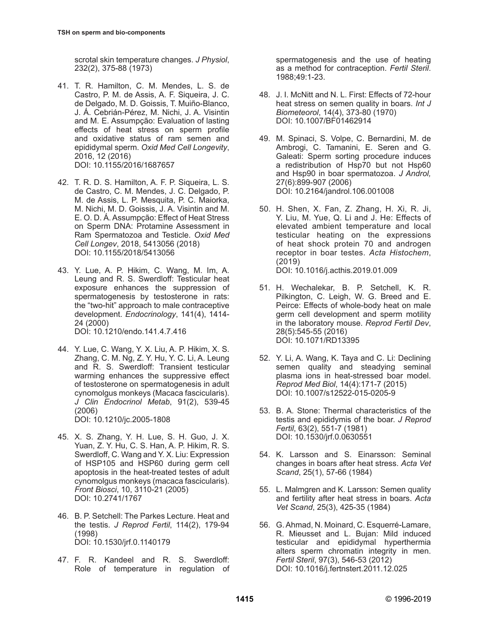scrotal skin temperature changes. *J Physiol*, 232(2), 375-88 (1973)

- 41. T. R. Hamilton, C. M. Mendes, L. S. de Castro, P. M. de Assis, A. F. Siqueira, J. C. de Delgado, M. D. Goissis, T. Muiño-Blanco, J. Á. Cebrián-Pérez, M. Nichi, J. A. Visintin and M. E. Assumpção: Evaluation of lasting effects of heat stress on sperm profile and oxidative status of ram semen and epididymal sperm. *Oxid Med Cell Longevity*, 2016, 12 (2016) [DOI: 10.1155/2016/1687657](https://doi:10.1155/2016/1687657)
- 42. T. R. D. S. Hamilton, A. F. P. Siqueira, L. S. de Castro, C. M. Mendes, J. C. Delgado, P. M. de Assis, L. P. Mesquita, P. C. Maiorka, M. Nichi, M. D. Goissis, J. A. Visintin and M. E. O. D. Á. Assumpção: Effect of Heat Stress on Sperm DNA: Protamine Assessment in Ram Spermatozoa and Testicle. *Oxid Med Cell Longev*, 2018, 5413056 (2018) [DOI: 10.1155/2018/5413056](https://doi:10.1155/2018/5413056)
- 43. Y. Lue, A. P. Hikim, C. Wang, M. Im, A. Leung and R. S. Swerdloff: Testicular heat exposure enhances the suppression of spermatogenesis by testosterone in rats: the "two-hit" approach to male contraceptive development. *Endocrinology*, 141(4), 1414- 24 (2000)

[DOI: 10.1210/endo.141.4.7.416](https://doi:10.1210/endo.141.4.7.416)

44. Y. Lue, C. Wang, Y. X. Liu, A. P. Hikim, X. S. Zhang, C. M. Ng, Z. Y. Hu, Y. C. Li, A. Leung and R. S. Swerdloff: Transient testicular warming enhances the suppressive effect of testosterone on spermatogenesis in adult cynomolgus monkeys (Macaca fascicularis). *J Clin Endocrinol Metab*, 91(2), 539-45 (2006)

[DOI: 10.1210/jc.2005-1808](https://doi:10.1210/jc.2005-1808)

- 45. X. S. Zhang, Y. H. Lue, S. H. Guo, J. X. Yuan, Z. Y. Hu, C. S. Han, A. P. Hikim, R. S. Swerdloff, C. Wang and Y. X. Liu: Expression of HSP105 and HSP60 during germ cell apoptosis in the heat-treated testes of adult cynomolgus monkeys (macaca fascicularis). *Front Biosci*, 10, 3110-21 (2005) [DOI: 10.2741/1767](https://doi:10.2741/1767)
- 46. B. P. Setchell: The Parkes Lecture. Heat and the testis. *J Reprod Fertil*, 114(2), 179-94 (1998) [DOI: 10.1530/jrf.0.1140179](https://doi:10.1530/jrf.0.1140179)
- 47. F. R. Kandeel and R. S. Swerdloff: Role of temperature in regulation of

spermatogenesis and the use of heating as a method for contraception. *Fertil Steril*. 1988;49:1-23.

- 48. J. I. McNitt and N. L. First: Effects of 72-hour heat stress on semen quality in boars. *Int J Biometeorol*, 14(4), 373-80 (1970) [DOI: 10.1007/BF01462914](https://doi:10.1007/BF01462914)
- 49. M. Spinaci, S. Volpe, C. Bernardini, M. de Ambrogi, C. Tamanini, E. Seren and G. Galeati: Sperm sorting procedure induces a redistribution of Hsp70 but not Hsp60 and Hsp90 in boar spermatozoa. *J Androl,*  27(6):899-907 (2006) DOI: 10.2164/jandrol.106.001008
- 50. H. Shen, X. Fan, Z. Zhang, H. Xi, R. Ji, Y. Liu, M. Yue, Q. Li and J. He: Effects of elevated ambient temperature and local testicular heating on the expressions of heat shock protein 70 and androgen receptor in boar testes. *Acta Histochem*, (2019) DOI: 10.1016/j.acthis.2019.01.009
- 51. H. Wechalekar, B. P. Setchell, K. R. Pilkington, C. Leigh, W. G. Breed and E. Peirce: Effects of whole-body heat on male germ cell development and sperm motility in the laboratory mouse. *Reprod Fertil Dev*, 28(5):545-55 (2016) DOI: 10.1071/RD13395
- 52. Y. Li, A. Wang, K. Taya and C. Li: Declining semen quality and steadying seminal plasma ions in heat-stressed boar model. *Reprod Med Biol*, 14(4):171-7 (2015) DOI: 10.1007/s12522-015-0205-9
- 53. B. A. Stone: Thermal characteristics of the testis and epididymis of the boar. *J Reprod Fertil*, 63(2), 551-7 (1981) [DOI: 10.1530/jrf.0.0630551](https://doi:10.1530/jrf.0.0630551)
- 54. K. Larsson and S. Einarsson: Seminal changes in boars after heat stress. *Acta Vet Scand*, 25(1), 57-66 (1984)
- 55. L. Malmgren and K. Larsson: Semen quality and fertility after heat stress in boars. *Acta Vet Scand*, 25(3), 425-35 (1984)
- 56. G. Ahmad, N. Moinard, C. Esquerré-Lamare, R. Mieusset and L. Bujan: Mild induced testicular and epididymal hyperthermia alters sperm chromatin integrity in men. *Fertil Steril*, 97(3), 546-53 (2012) [DOI: 10.1016/j.fertnstert.2011.12.025](https://doi:10.1016/j.fertnstert.2011.12.025)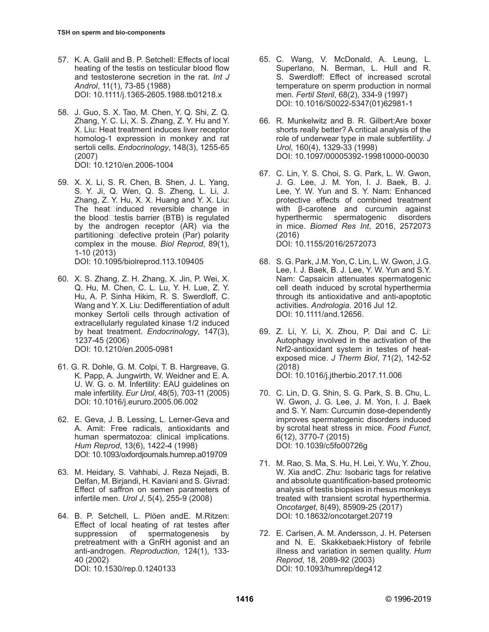- 57. K. A. Galil and B. P. Setchell: Effects of local heating of the testis on testicular blood flow and testosterone secretion in the rat. *Int J Androl*, 11(1), 73-85 (1988) [DOI: 10.1111/j.1365-2605.1988.tb01218.x](https://doi:10.1111/j.1365-2605.1988.tb01218.x)
- 58. J. Guo, S. X. Tao, M. Chen, Y. Q. Shi, Z. Q. Zhang, Y. C. Li, X. S. Zhang, Z. Y. Hu and Y. X. Liu: Heat treatment induces liver receptor homolog-1 expression in monkey and rat sertoli cells. *Endocrinology*, 148(3), 1255-65 (2007) [DOI: 10.1210/en.2006-1004](https://doi:10.1210/en.2006-1004)
- 59. X. X. Li, S. R. Chen, B. Shen, J. L. Yang, S. Y. Ji, Q. Wen, Q. S. Zheng, L. Li, J. Zhang, Z. Y. Hu, X. X. Huang and Y. X. Liu: The heat $\square$ induced reversible change in the blood $\Box$ testis barrier (BTB) is regulated by the androgen receptor (AR) via the partitioning□defective protein (Par) polarity complex in the mouse. *Biol Reprod*, 89(1), 1-10 (2013) [DOI: 10.1095/biolreprod.113.109405](https://doi:10.1095/biolreprod.113.109405)
- 60. X. S. Zhang, Z. H. Zhang, X. Jin, P. Wei, X. Q. Hu, M. Chen, C. L. Lu, Y. H. Lue, Z. Y. Hu, A. P. Sinha Hikim, R. S. Swerdloff, C. Wang and Y. X. Liu: Dedifferentiation of adult monkey Sertoli cells through activation of extracellularly regulated kinase 1/2 induced by heat treatment. *Endocrinology*, 147(3), 1237-45 (2006) [DOI: 10.1210/en.2005-0981](https://doi:10.1210/en.2005-0981)
- 61. G. R. Dohle, G. M. Colpi, T. B. Hargreave, G. K. Papp, A. Jungwirth, W. Weidner and E. A. U. W. G. o. M. Infertility: EAU guidelines on male infertility. *Eur Urol*, 48(5), 703-11 (2005) [DOI: 10.1016/j.eururo.2005.06.002](https://doi:10.1016/j.eururo.2005.06.002)
- 62. E. Geva, J. B. Lessing, L. Lerner-Geva and A. Amit: Free radicals, antioxidants and human spermatozoa: clinical implications. *Hum Reprod*, 13(6), 1422-4 (1998) [DOI: 10.1093/oxfordjournals.humrep.a019709](https://doi:10.1093/oxfordjournals.humrep.a019709)
- 63. M. Heidary, S. Vahhabi, J. Reza Nejadi, B. Delfan, M. Birjandi, H. Kaviani and S. Givrad: Effect of saffron on semen parameters of infertile men. *Urol J*, 5(4), 255-9 (2008)
- 64. B. P. Setchell, L. Plöen andE. M.Ritzen: Effect of local heating of rat testes after suppression of spermatogenesis by pretreatment with a GnRH agonist and an anti-androgen. *Reproduction*, 124(1), 133- 40 (2002) [DOI: 10.1530/rep.0.1240133](https://doi:10.1530/rep.0.1240133)
- 65. C. Wang, V. McDonald, A. Leung, L. Superlano, N. Berman, L. Hull and R. S. Swerdloff: Effect of increased scrotal temperature on sperm production in normal men. *Fertil Steril*, 68(2), 334-9 (1997) [DOI: 10.1016/S0022-5347\(01\)62981-1](https://doi:10.1016/S0022-5347(01)62981-1)
- 66. R. Munkelwitz and B. R. Gilbert:Are boxer shorts really better? A critical analysis of the role of underwear type in male subfertility. *J Urol*, 160(4), 1329-33 (1998) DOI: 10.1097/00005392-199810000-00030
- 67. C. Lin, Y. S. Choi, S. G. Park, L. W. Gwon, J. G. Lee, J. M. Yon, I. J. Baek, B. J. Lee, Y. W. Yun and S. Y. Nam: Enhanced protective effects of combined treatment with β-carotene and curcumin against hyperthermic spermatogenic disorders in mice. *Biomed Res Int*, 2016, 2572073 (2016) [DOI: 10.1155/2016/2572073](https://doi:10.1155/2016/2572073)
- 68. S. G. Park, J.M. Yon, C. Lin, L. W. Gwon, J.G. Lee, I. J. Baek, B. J. Lee, Y. W. Yun and S.Y. Nam: Capsaicin attenuates spermatogenic cell death induced by scrotal hyperthermia through its antioxidative and anti-apoptotic activities. *Andrologia*. 2016 Jul 12. [DOI: 10.1111/and.12656](https://doi:10.1111/and.12656).
- 69. Z. Li, Y. Li, X. Zhou, P. Dai and C. Li: Autophagy involved in the activation of the Nrf2-antioxidant system in testes of heatexposed mice. *J Therm Biol*, 71(2), 142-52 (2018) [DOI: 10.1016/j.jtherbio.2017.11.006](https://doi:10.1016/j.jtherbio.2017.11.006)
- 70. C. Lin, D. G. Shin, S. G. Park, S. B. Chu, L. W. Gwon, J. G. Lee, J. M. Yon, I. J. Baek and S. Y. Nam: Curcumin dose-dependently improves spermatogenic disorders induced by scrotal heat stress in mice. *Food Funct*, 6(12), 3770-7 (2015) [DOI: 10.1039/c5fo00726g](https://doi:10.1039/c5fo00726g)
- 71. M. Rao, S. Ma, S. Hu, H. Lei, Y. Wu, Y. Zhou, W. Xia andC. Zhu: Isobaric tags for relative and absolute quantification-based proteomic analysis of testis biopsies in rhesus monkeys treated with transient scrotal hyperthermia. *Oncotarget*, 8(49), 85909-25 (2017) [DOI: 10.18632/oncotarget.20719](https://doi:10.18632/oncotarget.20719)
- 72. E. Carlsen, A. M. Andersson, J. H. Petersen and N. E. Skakkebaek:History of febrile illness and variation in semen quality. *Hum Reprod*, 18, 2089-92 (2003) [DOI: 10.1093/humrep/deg412](https://doi:10.1093/humrep/deg412)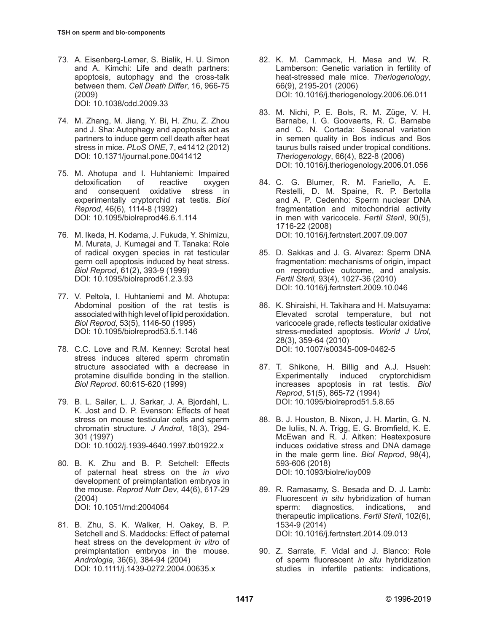- 73. A. Eisenberg-Lerner, S. Bialik, H. U. Simon and A. Kimchi: Life and death partners: apoptosis, autophagy and the cross-talk between them. *Cell Death Differ*, 16, 966-75 (2009) [DOI: 10.1038/cdd.2009.33](https://doi:10.1038/cdd.2009.33)
- 74. M. Zhang, M. Jiang, Y. Bi, H. Zhu, Z. Zhou and J. Sha: Autophagy and apoptosis act as partners to induce germ cell death after heat stress in mice. *PLoS ONE*, 7, e41412 (2012) [DOI: 10.1371/journal.pone.0041412](https://doi:10.1371/journal.pone.0041412)
- 75. M. Ahotupa and I. Huhtaniemi: Impaired detoxification of reactive oxygen and consequent oxidative stress in experimentally cryptorchid rat testis. *Biol Reprod*, 46(6), 1114-8 (1992) [DOI: 10.1095/biolreprod46.6.1.114](https://doi:10.1095/biolreprod46.6.1.114)
- 76. M. Ikeda, H. Kodama, J. Fukuda, Y. Shimizu, M. Murata, J. Kumagai and T. Tanaka: Role of radical oxygen species in rat testicular germ cell apoptosis induced by heat stress. *Biol Reprod*, 61(2), 393-9 (1999) [DOI: 10.1095/biolreprod61.2.3.93](https://doi:10.1095/biolreprod61.2.3.93)
- 77. V. Peltola, I. Huhtaniemi and M. Ahotupa: Abdominal position of the rat testis is associated with high level of lipid peroxidation. *Biol Reprod*, 53(5), 1146-50 (1995) [DOI: 10.1095/biolreprod53.5.1.146](https://doi:10.1095/biolreprod53.5.1.146)
- 78. C.C. Love and R.M. Kenney: Scrotal heat stress induces altered sperm chromatin structure associated with a decrease in protamine disulfide bonding in the stallion. *Biol Reprod*. 60:615-620 (1999)
- 79. B. L. Sailer, L. J. Sarkar, J. A. Bjordahl, L. K. Jost and D. P. Evenson: Effects of heat stress on mouse testicular cells and sperm chromatin structure. *J Androl*, 18(3), 294- 301 (1997) [DOI: 10.1002/j.1939-4640.1997.tb01922.x](https://doi:10.1002/j.1939-4640.1997.tb01922.x)
- 80. B. K. Zhu and B. P. Setchell: Effects of paternal heat stress on the *in vivo* development of preimplantation embryos in the mouse. *Reprod Nutr Dev*, 44(6), 617-29 (2004) [DOI: 10.1051/rnd:2004064](https://doi:10.1051/rnd:2004064)
- 81. B. Zhu, S. K. Walker, H. Oakey, B. P. Setchell and S. Maddocks: Effect of paternal heat stress on the development *in vitro* of preimplantation embryos in the mouse. *Andrologia*, 36(6), 384-94 (2004) [DOI: 10.1111/j.1439-0272.2004.00635.x](https://doi:10.1111/j.1439-0272.2004.00635.x)
- 82. K. M. Cammack, H. Mesa and W. R. Lamberson: Genetic variation in fertility of heat-stressed male mice. *Theriogenology*, 66(9), 2195-201 (2006) [DOI: 10.1016/j.theriogenology.2006.06.011](https://doi:10.1016/j.theriogenology.2006.06.011)
- 83. M. Nichi, P. E. Bols, R. M. Züge, V. H. Barnabe, I. G. Goovaerts, R. C. Barnabe and C. N. Cortada: Seasonal variation in semen quality in Bos indicus and Bos taurus bulls raised under tropical conditions. *Theriogenology*, 66(4), 822-8 (2006) [DOI: 10.1016/j.theriogenology.2006.01.056](https://doi:10.1016/j.theriogenology.2006.01.056)
- 84. C. G. Blumer, R. M. Fariello, A. E. Restelli, D. M. Spaine, R. P. Bertolla and A. P. Cedenho: Sperm nuclear DNA fragmentation and mitochondrial activity in men with varicocele. *Fertil Steril*, 90(5), 1716-22 (2008) [DOI: 10.1016/j.fertnstert.2007.09.007](https://doi:10.1016/j.fertnstert.2007.09.007)
- 85. D. Sakkas and J. G. Alvarez: Sperm DNA fragmentation: mechanisms of origin, impact on reproductive outcome, and analysis. *Fertil Steril,* 93(4), 1027-36 (2010) [DOI: 10.1016/j.fertnstert.2009.10.046](https://doi:10.1016/j.fertnstert.2009.10.046)
- 86. K. Shiraishi, H. Takihara and H. Matsuyama: Elevated scrotal temperature, but not varicocele grade, reflects testicular oxidative stress-mediated apoptosis. *World J Urol*, 28(3), 359-64 (2010) [DOI: 10.1007/s00345-009-0462-5](https://doi:10.1007/s00345-009-0462-5)
- 87. T. Shikone, H. Billig and A.J. Hsueh: Experimentally induced cryptorchidism increases apoptosis in rat testis. *Biol Reprod*, 51(5), 865-72 (1994) [DOI: 10.1095/biolreprod51.5.8.65](https://doi:10.1095/biolreprod51.5.8.65)
- 88. B. J. Houston, B. Nixon, J. H. Martin, G. N. De Iuliis, N. A. Trigg, E. G. Bromfield, K. E. McEwan and R. J. Aitken: Heatexposure induces oxidative stress and DNA damage in the male germ line. *Biol Reprod*, 98(4), 593-606 (2018) [DOI: 10.1093/biolre/ioy009](https://doi:10.1093/biolre/ioy009)
- 89. R. Ramasamy, S. Besada and D. J. Lamb: Fluorescent *in situ* hybridization of human sperm: diagnostics, indications, and therapeutic implications. *Fertil Steril*, 102(6), 1534-9 (2014) [DOI: 10.1016/j.fertnstert.2014.09.013](https://doi:10.1016/j.fertnstert.2014.09.013)
- 90. Z. Sarrate, F. Vidal and J. Blanco: Role of sperm fluorescent *in situ* hybridization studies in infertile patients: indications,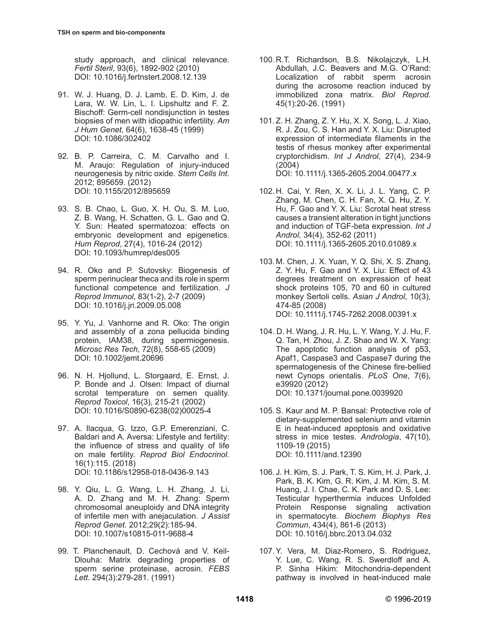study approach, and clinical relevance. *Fertil Steril*, 93(6), 1892-902 (2010) [DOI: 10.1016/j.fertnstert.2008.12.139](https://doi:10.1016/j.fertnstert.2008.12.139)

- 91. W. J. Huang, D. J. Lamb, E. D. Kim, J. de Lara, W. W. Lin, L. I. Lipshultz and F. Z. Bischoff: Germ-cell nondisjunction in testes biopsies of men with idiopathic infertility. *Am J Hum Genet*, 64(6), 1638-45 (1999) [DOI: 10.1086/302402](https://doi:10.1086/302402)
- 92. B. P. Carreira, C. M. Carvalho and I. M. Araujo: Regulation of injury-induced neurogenesis by nitric oxide. *Stem Cells Int*. 2012; 895659. (2012) [DOI: 10.1155/2012/895659](https://doi:10.1155/2012/895659)
- 93. S. B. Chao, L. Guo, X. H. Ou, S. M. Luo, Z. B. Wang, H. Schatten, G. L. Gao and Q. Y. Sun: Heated spermatozoa: effects on embryonic development and epigenetics. *Hum Reprod*, 27(4), 1016-24 (2012) [DOI: 10.1093/humrep/des005](https://doi:10.1093/humrep/des005)
- 94. R. Oko and P. Sutovsky: Biogenesis of sperm perinuclear theca and its role in sperm functional competence and fertilization. *J Reprod Immunol*, 83(1-2), 2-7 (2009) [DOI: 10.1016/j.jri.2009.05.008](https://doi:10.1016/j.jri.2009.05.008)
- 95. Y. Yu, J. Vanhorne and R. Oko: The origin and assembly of a zona pellucida binding protein, IAM38, during spermiogenesis. *Microsc Res Tech*, 72(8), 558-65 (2009) [DOI: 10.1002/jemt.20696](https://doi:10.1002/jemt.20696)
- 96. N. H. Hjollund, L. Storgaard, E. Ernst, J. P. Bonde and J. Olsen: Impact of diurnal scrotal temperature on semen quality. *Reprod Toxicol*, 16(3), 215-21 (2002) [DOI: 10.1016/S0890-6238\(02\)00025-4](https://doi:10.1016/S0890-6238(02)00025-4)
- 97. A. Ilacqua, G. Izzo, G.P. Emerenziani, C. Baldari and A. Aversa: Lifestyle and fertility: the influence of stress and quality of life on male fertility. *Reprod Biol Endocrinol*. 16(1):115. (2018) [DOI: 10.1186/s12958-018-0436-9.143](https://doi:10.1186/s12958-018-0436-9.143)
- 98. Y. Qiu, L. G. Wang, L. H. Zhang, J. Li, A. D. Zhang and M. H. Zhang: Sperm chromosomal aneuploidy and DNA integrity of infertile men with anejaculation. *J Assist Reprod Genet.* 2012;29(2):185-94. [DOI: 10.1007/s10815-011-9688-4](https://doi:10.1007/s10815-011-9688-4)
- 99. T. Planchenault, D. Cechová and V. Keil-Dlouha: Matrix degrading properties of sperm serine proteinase, acrosin. *FEBS Lett*. 294(3):279-281. (1991)
- 100. R.T. Richardson, B.S. Nikolajczyk, L.H. Abdullah, J.C. Beavers and M.G. O'Rand: Localization of rabbit sperm acrosin during the acrosome reaction induced by immobilized zona matrix. *Biol Reprod*. 45(1):20-26. (1991)
- 101. Z. H. Zhang, Z. Y. Hu, X. X. Song, L. J. Xiao, R. J. Zou, C. S. Han and Y. X. Liu: Disrupted expression of intermediate filaments in the testis of rhesus monkey after experimental cryptorchidism. *Int J Androl*, 27(4), 234-9 (2004) [DOI: 10.1111/j.1365-2605.2004.00477.x](https://doi:10.1111/j.1365-2605.2004.00477.x)
- 102. H. Cai, Y. Ren, X. X. Li, J. L. Yang, C. P. Zhang, M. Chen, C. H. Fan, X. Q. Hu, Z. Y. Hu, F. Gao and Y. X. Liu: Scrotal heat stress causes a transient alteration in tight junctions and induction of TGF-beta expression. *Int J Androl*, 34(4), 352-62 (2011) [DOI: 10.1111/j.1365-2605.2010.01089.x](https://doi:10.1111/j.1365-2605.2010.01089.x)
- 103. M. Chen, J. X. Yuan, Y. Q. Shi, X. S. Zhang, Z. Y. Hu, F. Gao and Y. X. Liu: Effect of 43 degrees treatment on expression of heat shock proteins 105, 70 and 60 in cultured monkey Sertoli cells. *Asian J Androl*, 10(3), 474-85 (2008) [DOI: 10.1111/j.1745-7262.2008.00391.x](https://doi:10.1111/j.1745-7262.2008.00391.x)
- 104. D. H. Wang, J. R. Hu, L. Y. Wang, Y. J. Hu, F. Q. Tan, H. Zhou, J. Z. Shao and W. X. Yang: The apoptotic function analysis of p53, Apaf1, Caspase3 and Caspase7 during the spermatogenesis of the Chinese fire-bellied newt Cynops orientalis. *PLoS One*, 7(6), e39920 (2012) [DOI: 10.1371/journal.pone.0039920](https://doi:10.1371/journal.pone.0039920)
- 105.S. Kaur and M. P. Bansal: Protective role of dietary-supplemented selenium and vitamin E in heat-induced apoptosis and oxidative stress in mice testes. *Andrologia*, 47(10), 1109-19 (2015) [DOI: 10.1111/and.12390](https://doi:10.1111/and.12390)
- 106. J. H. Kim, S. J. Park, T. S. Kim, H. J. Park, J. Park, B. K. Kim, G. R. Kim, J. M. Kim, S. M. Huang, J. I. Chae, C. K. Park and D. S. Lee: Testicular hyperthermia induces Unfolded Protein Response signaling activation in spermatocyte. *Biochem Biophys Res Commun*, 434(4), 861-6 (2013) [DOI: 10.1016/j.bbrc.2013.04.032](https://doi:10.1016/j.bbrc.2013.04.032)
- 107.Y. Vera, M. Diaz-Romero, S. Rodriguez, Y. Lue, C. Wang, R. S. Swerdloff and A. P. Sinha Hikim: Mitochondria-dependent pathway is involved in heat-induced male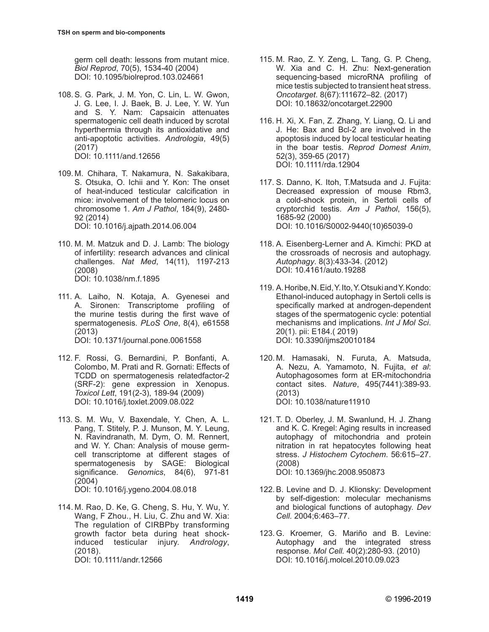germ cell death: lessons from mutant mice. *Biol Reprod*, 70(5), 1534-40 (2004) [DOI: 10.1095/biolreprod.103.024661](https://doi:10.1095/biolreprod.103.024661)

- 108.S. G. Park, J. M. Yon, C. Lin, L. W. Gwon, J. G. Lee, I. J. Baek, B. J. Lee, Y. W. Yun and S. Y. Nam: Capsaicin attenuates spermatogenic cell death induced by scrotal hyperthermia through its antioxidative and anti-apoptotic activities. *Andrologia*, 49(5) (2017) [DOI: 10.1111/and.12656](https://doi:10.1111/and.12656)
- 109. M. Chihara, T. Nakamura, N. Sakakibara, S. Otsuka, O. Ichii and Y. Kon: The onset of heat-induced testicular calcification in mice: involvement of the telomeric locus on chromosome 1. *Am J Pathol*, 184(9), 2480- 92 (2014) [DOI: 10.1016/j.ajpath.2014.06.004](https://doi:10.1016/j.ajpath.2014.06.004)
- 110. M. M. Matzuk and D. J. Lamb: The biology of infertility: research advances and clinical challenges. *Nat Med*, 14(11), 1197-213 (2008) [DOI: 10.1038/nm.f.1895](https://doi:10.1038/nm.f.1895)
- 111. A. Laiho, N. Kotaja, A. Gyenesei and A. Sironen: Transcriptome profiling of the murine testis during the first wave of spermatogenesis. *PLoS One*, 8(4), e61558 (2013) [DOI: 10.1371/journal.pone.0061558](https://doi:10.1371/journal.pone.0061558)
- 112. F. Rossi, G. Bernardini, P. Bonfanti, A. Colombo, M. Prati and R. Gornati: Effects of TCDD on spermatogenesis relatedfactor-2 (SRF-2): gene expression in Xenopus. *Toxicol Lett*, 191(2-3), 189-94 (2009) [DOI: 10.1016/j.toxlet.2009.08.022](https://doi:10.1016/j.toxlet.2009.08.022)
- 113. S. M. Wu, V. Baxendale, Y. Chen, A. L. Pang, T. Stitely, P. J. Munson, M. Y. Leung, N. Ravindranath, M. Dym, O. M. Rennert, and W. Y. Chan: Analysis of mouse germcell transcriptome at different stages of spermatogenesis by SAGE: Biological significance. *Genomics*, 84(6), 971-81 (2004) [DOI: 10.1016/j.ygeno.2004.08.018](https://doi:10.1016/j.ygeno.2004.08.018)
- 114. M. Rao, D. Ke, G. Cheng, S. Hu, Y. Wu, Y. Wang, F Zhou., H. Liu, C. Zhu and W. Xia: The regulation of CIRBPby transforming growth factor beta during heat shockinduced testicular injury. *Andrology*, (2018). [DOI: 10.1111/andr.12566](https://doi:10.1111/andr.12566)
- 115. M. Rao, Z. Y. Zeng, L. Tang, G. P. Cheng, W. Xia and C. H. Zhu: Next-generation sequencing-based microRNA profiling of mice testis subjected to transient heat stress. *Oncotarget*. 8(67):111672–82. (2017) [DOI: 10.18632/oncotarget.22900](https://doi:10.18632/oncotarget.22900)
- 116. H. Xi, X. Fan, Z. Zhang, Y. Liang, Q. Li and J. He: Bax and Bcl-2 are involved in the apoptosis induced by local testicular heating in the boar testis. *Reprod Domest Anim*, 52(3), 359-65 (2017) [DOI: 10.1111/rda.12904](https://doi:10.1111/rda.12904)
- 117. S. Danno, K. Itoh, T.Matsuda and J. Fujita: Decreased expression of mouse Rbm3, a cold-shock protein, in Sertoli cells of cryptorchid testis. *Am J Pathol*, 156(5), 1685-92 (2000) [DOI: 10.1016/S0002-9440\(10\)65039-0](https://doi:10.1016/S0002-9440(10)65039-0)
- 118. A. Eisenberg-Lerner and A. Kimchi: PKD at the crossroads of necrosis and autophagy. *Autophagy*. 8(3):433-34. (2012) [DOI: 10.4161/auto.19288](https://doi:10.4161/auto.19288)
- 119. A. Horibe, N. Eid, Y. Ito, Y. Otsuki and Y. Kondo: Ethanol-induced autophagy in Sertoli cells is specifically marked at androgen-dependent stages of the spermatogenic cycle: potential mechanisms and implications. *Int J Mol Sci*. 20(1). pii: E184.( 2019) [DOI: 10.3390/ijms20010184](https://doi:10.3390/ijms20010184)
- 120. M. Hamasaki, N. Furuta, A. Matsuda, A. Nezu, A. Yamamoto, N. Fujita, *et al*: Autophagosomes form at ER-mitochondria contact sites. *Nature*, 495(7441):389-93. (2013) [DOI: 10.1038/nature11910](https://doi:10.1038/nature11910)
- 121. T. D. Oberley, J. M. Swanlund, H. J. Zhang and K. C. Kregel: Aging results in increased autophagy of mitochondria and protein nitration in rat hepatocytes following heat stress. *J Histochem Cytochem*. 56:615–27. (2008) [DOI: 10.1369/jhc.2008.950873](https://doi:10.1369/jhc.2008.950873)
- 122.B. Levine and D. J. Klionsky: Development by self-digestion: molecular mechanisms and biological functions of autophagy. *Dev Cell.* 2004;6:463–77.
- 123.G. Kroemer, G. Mariño and B. Levine: Autophagy and the integrated stress response. *Mol Cell.* 40(2):280-93. (2010) [DOI: 10.1016/j.molcel.2010.09.023](https://doi:10.1016/j.molcel.2010.09.023)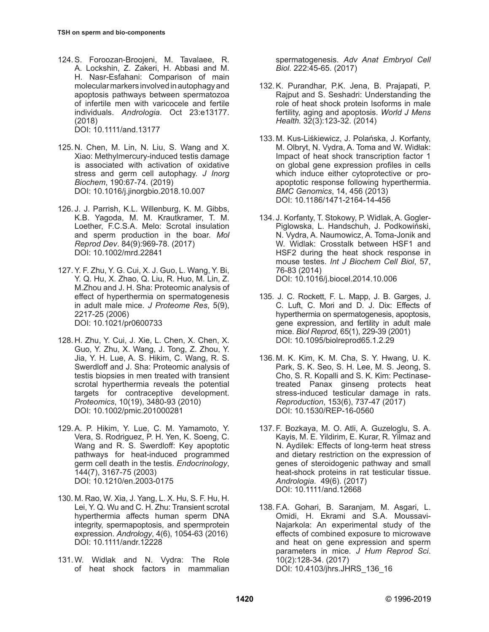- 124.S. Foroozan-Broojeni, M. Tavalaee, R. A. Lockshin, Z. Zakeri, H. Abbasi and M. H. Nasr-Esfahani: Comparison of main molecular markers involved in autophagy and apoptosis pathways between spermatozoa of infertile men with varicocele and fertile individuals. *Andrologia*. Oct 23:e13177. (2018) [DOI: 10.1111/and.13177](https://doi:10.1111/and.13177)
- 125. N. Chen, M. Lin, N. Liu, S. Wang and X. Xiao: Methylmercury-induced testis damage is associated with activation of oxidative stress and germ cell autophagy. *J Inorg Biochem*, 190:67-74. (2019) [DOI: 10.1016/j.jinorgbio.2018.10.007](https://doi:10.1016/j.jinorgbio.2018.10.007)
- 126. J. J. Parrish, K.L. Willenburg, K. M. Gibbs, K.B. Yagoda, M. M. Krautkramer, T. M. Loether, F.C.S.A. Melo: Scrotal insulation and sperm production in the boar. *Mol Reprod Dev*. 84(9):969-78. (2017) [DOI: 10.1002/mrd.22841](https://doi:10.1002/mrd.22841)
- 127.Y. F. Zhu, Y. G. Cui, X. J. Guo, L. Wang, Y. Bi, Y. Q. Hu, X. Zhao, Q. Liu, R. Huo, M. Lin, Z. M.Zhou and J. H. Sha: Proteomic analysis of effect of hyperthermia on spermatogenesis in adult male mice. *J Proteome Res*, 5(9), 2217-25 (2006) [DOI: 10.1021/pr0600733](https://doi:10.1021/pr0600733)
- 128. H. Zhu, Y. Cui, J. Xie, L. Chen, X. Chen, X. Guo, Y. Zhu, X. Wang, J. Tong, Z. Zhou, Y. Jia, Y. H. Lue, A. S. Hikim, C. Wang, R. S. Swerdloff and J. Sha: Proteomic analysis of testis biopsies in men treated with transient scrotal hyperthermia reveals the potential targets for contraceptive development. *Proteomics*, 10(19), 3480-93 (2010) [DOI: 10.1002/pmic.201000281](https://doi:10.1002/pmic.201000281)
- 129.A. P. Hikim, Y. Lue, C. M. Yamamoto, Y. Vera, S. Rodriguez, P. H. Yen, K. Soeng, C. Wang and R. S. Swerdloff: Key apoptotic pathways for heat-induced programmed germ cell death in the testis. *Endocrinology*, 144(7), 3167-75 (2003) [DOI: 10.1210/en.2003-0175](https://doi:10.1210/en.2003-0175)
- 130. M. Rao, W. Xia, J. Yang, L. X. Hu, S. F. Hu, H. Lei, Y. Q. Wu and C. H. Zhu: Transient scrotal hyperthermia affects human sperm DNA integrity, spermapoptosis, and spermprotein expression. *Andrology*, 4(6), 1054-63 (2016) [DOI: 10.1111/andr.12228](https://doi:10.1111/andr.12228)
- 131.W. Widlak and N. Vydra: The Role of heat shock factors in mammalian

spermatogenesis. *Adv Anat Embryol Cell Biol*. 222:45-65. (2017)

- 132.K. Purandhar, P.K. Jena, B. Prajapati, P. Rajput and S. Seshadri: Understanding the role of heat shock protein Isoforms in male fertility, aging and apoptosis. *World J Mens Health.* 32(3):123-32. (2014)
- 133. M. Kus-Liśkiewicz, J. Polańska, J. Korfanty, M. Olbryt, N. Vydra, A. Toma and W. Widłak: Impact of heat shock transcription factor 1 on global gene expression profiles in cells which induce either cytoprotective or proapoptotic response following hyperthermia. *BMC Genomics*, 14, 456 (2013) [DOI: 10.1186/1471-2164-14-456](https://doi:10.1186/1471-2164-14-456)
- 134. J. Korfanty, T. Stokowy, P. Widlak, A. Gogler-Piglowska, L. Handschuh, J. Podkowiński, N. Vydra, A. Naumowicz, A. Toma-Jonik and W. Widlak: Crosstalk between HSF1 and HSF2 during the heat shock response in mouse testes. *Int J Biochem Cell Biol*, 57, 76-83 (2014) [DOI: 10.1016/j.biocel.2014.10.006](https://doi:10.1016/j.biocel.2014.10.006)
- 135. J. C. Rockett, F. L. Mapp, J. B. Garges, J. C. Luft, C. Mori and D. J. Dix: Effects of hyperthermia on spermatogenesis, apoptosis, gene expression, and fertility in adult male mice. *Biol Reprod*, 65(1), 229-39 (2001) [DOI: 10.1095/biolreprod65.1.2.29](https://doi:10.1095/biolreprod65.1.2.29)
- 136. M. K. Kim, K. M. Cha, S. Y. Hwang, U. K. Park, S. K. Seo, S. H. Lee, M. S. Jeong, S. Cho, S. R. Kopalli and S. K. Kim: Pectinasetreated Panax ginseng protects heat stress-induced testicular damage in rats. *Reproduction*, 153(6), 737-47 (2017) [DOI: 10.1530/REP-16-0560](https://doi:10.1530/REP-16-0560)
- 137. F. Bozkaya, M. O. Atli, A. Guzeloglu, S. A. Kayis, M. E. Yildirim, E. Kurar, R. Yilmaz and N. Aydilek: Effects of long-term heat stress and dietary restriction on the expression of genes of steroidogenic pathway and small heat-shock proteins in rat testicular tissue. *Andrologia*. 49(6). (2017) [DOI: 10.1111/and.12668](https://doi:10.1111/and.12668)
- 138. F.A. Gohari, B. Saranjam, M. Asgari, L. Omidi, H. Ekrami and S.A. Moussavi-Najarkola: An experimental study of the effects of combined exposure to microwave and heat on gene expression and sperm parameters in mice. *J Hum Reprod Sci*. 10(2):128-34. (2017) [DOI: 10.4103/jhrs.JHRS\\_136\\_16](https://doi:10.4103/jhrs.JHRS_136_16)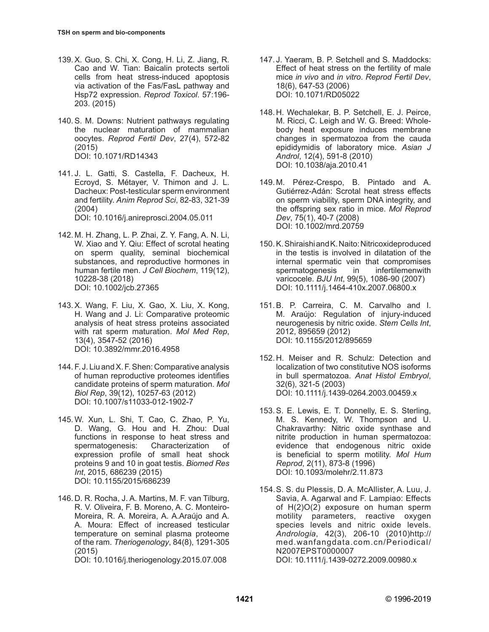- 139.X. Guo, S. Chi, X. Cong, H. Li, Z. Jiang, R. Cao and W. Tian: Baicalin protects sertoli cells from heat stress-induced apoptosis via activation of the Fas/FasL pathway and Hsp72 expression. *Reprod Toxicol*. 57:196- 203. (2015)
- 140.S. M. Downs: Nutrient pathways regulating the nuclear maturation of mammalian oocytes. *Reprod Fertil Dev*, 27(4), 572-82 (2015) [DOI: 10.1071/RD14343](https://doi:10.1071/RD14343)
- 141. J. L. Gatti, S. Castella, F. Dacheux, H. Ecroyd, S. Métayer, V. Thimon and J. L. Dacheux: Post-testicular sperm environment and fertility. *Anim Reprod Sci*, 82-83, 321-39 (2004) [DOI: 10.1016/j.anireprosci.2004.05.011](https://doi:10.1016/j.anireprosci.2004.05.011)
- 142. M. H. Zhang, L. P. Zhai, Z. Y. Fang, A. N. Li, W. Xiao and Y. Qiu: Effect of scrotal heating on sperm quality, seminal biochemical substances, and reproductive hormones in human fertile men. *J Cell Biochem*, 119(12), 10228-38 (2018) [DOI: 10.1002/jcb.27365](https://doi:10.1002/jcb.27365)
- 143.X. Wang, F. Liu, X. Gao, X. Liu, X. Kong, H. Wang and J. Li: Comparative proteomic analysis of heat stress proteins associated with rat sperm maturation. *Mol Med Rep*, 13(4), 3547-52 (2016) [DOI: 10.3892/mmr.2016.4958](https://doi:10.3892/mmr.2016.4958)
- 144. F. J. Liu and X. F. Shen: Comparative analysis of human reproductive proteomes identifies candidate proteins of sperm maturation. *Mol Biol Rep*, 39(12), 10257-63 (2012) [DOI: 10.1007/s11033-012-1902-7](https://doi:10.1007/s11033-012-1902-7)
- 145.W. Xun, L. Shi, T. Cao, C. Zhao, P. Yu, D. Wang, G. Hou and H. Zhou: Dual functions in response to heat stress and spermatogenesis: Characterization of expression profile of small heat shock proteins 9 and 10 in goat testis. *Biomed Res Int*, 2015, 686239 (2015) [DOI: 10.1155/2015/686239](https://doi:10.1155/2015/686239)
- 146. D. R. Rocha, J. A. Martins, M. F. van Tilburg, R. V. Oliveira, F. B. Moreno, A. C. Monteiro-Moreira, R. A. Moreira, A. A.Araújo and A. A. Moura: Effect of increased testicular temperature on seminal plasma proteome of the ram. *Theriogenology*, 84(8), 1291-305 (2015)

[DOI: 10.1016/j.theriogenology.2015.07.008](https://doi:10.1016/j.theriogenology.2015.07.008)

- 147. J. Yaeram, B. P. Setchell and S. Maddocks: Effect of heat stress on the fertility of male mice *in vivo* and *in vitro*. *Reprod Fertil Dev*, 18(6), 647-53 (2006) [DOI: 10.1071/RD05022](https://doi:10.1071/RD05022)
- 148. H. Wechalekar, B. P. Setchell, E. J. Peirce, M. Ricci, C. Leigh and W. G. Breed: Wholebody heat exposure induces membrane changes in spermatozoa from the cauda epididymidis of laboratory mice. *Asian J Androl*, 12(4), 591-8 (2010) [DOI: 10.1038/aja.2010.41](https://doi:10.1038/aja.2010.41)
- 149. M. Pérez-Crespo, B. Pintado and A. Gutiérrez-Adán: Scrotal heat stress effects on sperm viability, sperm DNA integrity, and the offspring sex ratio in mice. *Mol Reprod Dev*, 75(1), 40-7 (2008) [DOI: 10.1002/mrd.20759](https://doi:10.1002/mrd.20759)
- 150.K. Shiraishi and K. Naito: Nitricoxideproduced in the testis is involved in dilatation of the internal spermatic vein that compromises spermatogenesis in infertilemenwith varicocele. *BJU Int*, 99(5), 1086-90 (2007) [DOI: 10.1111/j.1464-410x.2007.06800.x](https://doi:10.1111/j.1464-410x.2007.06800.x)
- 151.B. P. Carreira, C. M. Carvalho and I. M. Araújo: Regulation of injury-induced neurogenesis by nitric oxide. *Stem Cells Int*, 2012, 895659 (2012) [DOI: 10.1155/2012/895659](https://doi:10.1155/2012/895659)
- 152. H. Meiser and R. Schulz: Detection and localization of two constitutive NOS isoforms in bull spermatozoa. *Anat Histol Embryol*, 32(6), 321-5 (2003) [DOI: 10.1111/j.1439-0264.2003.00459.x](https://doi:10.1111/j.1439-0264.2003.00459.x)
- 153.S. E. Lewis, E. T. Donnelly, E. S. Sterling, M. S. Kennedy, W. Thompson and U. Chakravarthy: Nitric oxide synthase and nitrite production in human spermatozoa: evidence that endogenous nitric oxide is beneficial to sperm motility. *Mol Hum Reprod*, 2(11), 873-8 (1996) [DOI: 10.1093/molehr/2.11.873](https://doi:10.1093/molehr/2.11.873)
- 154.S. S. du Plessis, D. A. McAllister, A. Luu, J. Savia, A. Agarwal and F. Lampiao: Effects of H(2)O(2) exposure on human sperm motility parameters, reactive oxygen species levels and nitric oxide levels. *Andrologia*, 42(3), 206-10 (2010)http:// med.wanfangdata.com.cn/Periodical/ N2007EPST0000007 [DOI: 10.1111/j.1439-0272.2009.00980.x](https://doi:10.1111/j.1439-0272.2009.00980.x)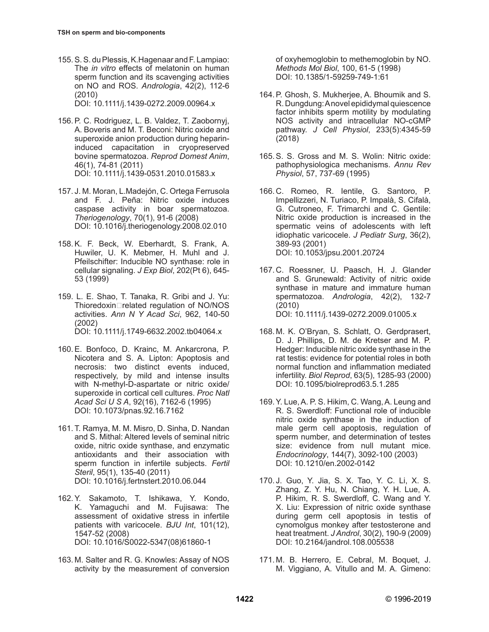155.S. S. du Plessis, K.Hagenaar and F. Lampiao: The *in vitro* effects of melatonin on human sperm function and its scavenging activities on NO and ROS. *Andrologia*, 42(2), 112-6 (2010)

[DOI: 10.1111/j.1439-0272.2009.00964.x](https://doi:10.1111/j.1439-0272.2009.00964.x)

- 156.P. C. Rodriguez, L. B. Valdez, T. Zaobornyj, A. Boveris and M. T. Beconi: Nitric oxide and superoxide anion production during heparininduced capacitation in cryopreserved bovine spermatozoa. *Reprod Domest Anim*, 46(1), 74-81 (2011) [DOI: 10.1111/j.1439-0531.2010.01583.x](https://doi:10.1111/j.1439-0531.2010.01583.x)
- 157. J. M. Moran, L.Madejón, C. Ortega Ferrusola and F. J. Peña: Nitric oxide induces caspase activity in boar spermatozoa. *Theriogenology*, 70(1), 91-6 (2008) [DOI: 10.1016/j.theriogenology.2008.02.010](https://doi:10.1016/j.theriogenology.2008.02.010)
- 158.K. F. Beck, W. Eberhardt, S. Frank, A. Huwiler, U. K. Mebmer, H. Muhl and J. Pfeilschifter: Inducible NO synthase: role in cellular signaling. *J Exp Biol*, 202(Pt 6), 645- 53 (1999)
- 159. L. E. Shao, T. Tanaka, R. Gribi and J. Yu: Thioredoxin□related regulation of NO/NOS activities. *Ann N Y Acad Sci*, 962, 140-50 (2002)

[DOI: 10.1111/j.1749-6632.2002.tb04064.x](https://doi:10.1111/j.1749-6632.2002.tb04064.x)

- 160.E. Bonfoco, D. Krainc, M. Ankarcrona, P. Nicotera and S. A. Lipton: Apoptosis and necrosis: two distinct events induced, respectively, by mild and intense insults with N-methyl-D-aspartate or nitric oxide/ superoxide in cortical cell cultures. *Proc Natl Acad Sci U S A*, 92(16), 7162-6 (1995) [DOI: 10.1073/pnas.92.16.7162](https://doi:10.1073/pnas.92.16.7162)
- 161. T. Ramya, M. M. Misro, D. Sinha, D. Nandan and S. Mithal: Altered levels of seminal nitric oxide, nitric oxide synthase, and enzymatic antioxidants and their association with sperm function in infertile subjects. *Fertil Steril*, 95(1), 135-40 (2011) [DOI: 10.1016/j.fertnstert.2010.06.044](https://doi:10.1016/j.fertnstert.2010.06.044)
- 162.Y. Sakamoto, T. Ishikawa, Y. Kondo, K. Yamaguchi and M. Fujisawa: The assessment of oxidative stress in infertile patients with varicocele. *BJU Int*, 101(12), 1547-52 (2008) [DOI: 10.1016/S0022-5347\(08\)61860-1](https://doi:10.1016/S0022-5347(08)61860-1)
- 163. M. Salter and R. G. Knowles: Assay of NOS activity by the measurement of conversion

of oxyhemoglobin to methemoglobin by NO. *Methods Mol Biol*, 100, 61-5 (1998) [DOI: 10.1385/1-59259-749-1:61](https://doi:10.1385/1-59259-749-1:61)

- 164.P. Ghosh, S. Mukherjee, A. Bhoumik and S. R. Dungdung: A novel epididymal quiescence factor inhibits sperm motility by modulating NOS activity and intracellular NO-cGMP pathway. *J Cell Physiol*, 233(5):4345-59 (2018)
- 165.S. S. Gross and M. S. Wolin: Nitric oxide: pathophysiologica mechanisms. *Annu Rev Physiol*, 57, 737-69 (1995)
- 166. C. Romeo, R. Ientile, G. Santoro, P. Impellizzeri, N. Turiaco, P. Impalà, S. Cifalà, G. Cutroneo, F. Trimarchi and C. Gentile: Nitric oxide production is increased in the spermatic veins of adolescents with left idiophatic varicocele. *J Pediatr Surg*, 36(2), 389-93 (2001) [DOI: 10.1053/jpsu.2001.20724](https://doi:10.1053/jpsu.2001.20724)
- 167. C. Roessner, U. Paasch, H. J. Glander and S. Grunewald: Activity of nitric oxide synthase in mature and immature human spermatozoa. *Andrologia*, 42(2), 132-7 (2010) [DOI: 10.1111/j.1439-0272.2009.01005.x](https://doi:10.1111/j.1439-0272.2009.01005.x)
- 168. M. K. O'Bryan, S. Schlatt, O. Gerdprasert, D. J. Phillips, D. M. de Kretser and M. P. Hedger: Inducible nitric oxide synthase in the rat testis: evidence for potential roles in both normal function and inflammation mediated infertility. *Biol Reprod*, 63(5), 1285-93 (2000) [DOI: 10.1095/biolreprod63.5.1.285](https://doi:10.1095/biolreprod63.5.1.285)
- 169.Y. Lue, A. P. S. Hikim, C. Wang, A. Leung and R. S. Swerdloff: Functional role of inducible nitric oxide synthase in the induction of male germ cell apoptosis, regulation of sperm number, and determination of testes size: evidence from null mutant mice. *Endocrinology*, 144(7), 3092-100 (2003) [DOI: 10.1210/en.2002-0142](https://doi:10.1210/en.2002-0142)
- 170. J. Guo, Y. Jia, S. X. Tao, Y. C. Li, X. S. Zhang, Z. Y. Hu, N. Chiang, Y. H. Lue, A. P. Hikim, R. S. Swerdloff, C. Wang and Y. X. Liu: Expression of nitric oxide synthase during germ cell apoptosis in testis of cynomolgus monkey after testosterone and heat treatment. *J Androl*, 30(2), 190-9 (2009) [DOI: 10.2164/jandrol.108.005538](https://doi:10.2164/jandrol.108.005538)
- 171. M. B. Herrero, E. Cebral, M. Boquet, J. M. Viggiano, A. Vitullo and M. A. Gimeno: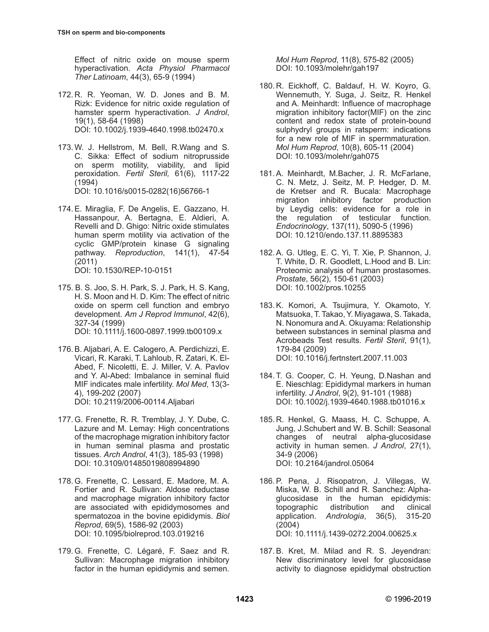Effect of nitric oxide on mouse sperm hyperactivation. *Acta Physiol Pharmacol Ther Latinoam*, 44(3), 65-9 (1994)

- 172. R. R. Yeoman, W. D. Jones and B. M. Rizk: Evidence for nitric oxide regulation of hamster sperm hyperactivation. *J Androl*, 19(1), 58-64 (1998) [DOI: 10.1002/j.1939-4640.1998.tb02470.x](https://doi:10.1002/j.1939-4640.1998.tb02470.x)
- 173.W. J. Hellstrom, M. Bell, R.Wang and S. C. Sikka: Effect of sodium nitroprusside on sperm motility, viability, and lipid peroxidation. *Fertil Steril,* 61(6), 1117-22 (1994) [DOI: 10.1016/s0015-0282\(16\)56766-1](https://doi:10.1016/s0015-0282(16)56766-1)
- 174.E. Miraglia, F. De Angelis, E. Gazzano, H. Hassanpour, A. Bertagna, E. Aldieri, A. Revelli and D. Ghigo: Nitric oxide stimulates human sperm motility via activation of the cyclic GMP/protein kinase G signaling pathway. *Reproduction*, 141(1), 47-54 (2011) [DOI: 10.1530/REP-10-0151](https://doi:10.1530/REP-10-0151)
- 175. B. S. Joo, S. H. Park, S. J. Park, H. S. Kang, H. S. Moon and H. D. Kim: The effect of nitric oxide on sperm cell function and embryo development. *Am J Reprod Immunol*, 42(6), 327-34 (1999) [DOI: 10.1111/j.1600-0897.1999.tb00109.x](https://doi:10.1111/j.1600-0897.1999.tb00109.x)
- 176.B. Aljabari, A. E. Calogero, A. Perdichizzi, E. Vicari, R. Karaki, T. Lahloub, R. Zatari, K. El-Abed, F. Nicoletti, E. J. Miller, V. A. Pavlov and Y. Al-Abed: Imbalance in seminal fluid MIF indicates male infertility. *Mol Med*, 13(3- 4), 199-202 (2007) [DOI: 10.2119/2006-00114.Aljabari](https://doi:10.2119/2006-00114.Aljabari)
- 177.G. Frenette, R. R. Tremblay, J. Y. Dube, C. Lazure and M. Lemay: High concentrations of the macrophage migration inhibitory factor in human seminal plasma and prostatic tissues. *Arch Androl*, 41(3), 185-93 (1998) [DOI: 10.3109/01485019808994890](https://doi:10.3109/01485019808994890)
- 178.G. Frenette, C. Lessard, E. Madore, M. A. Fortier and R. Sullivan: Aldose reductase and macrophage migration inhibitory factor are associated with epididymosomes and spermatozoa in the bovine epididymis. *Biol Reprod*, 69(5), 1586-92 (2003) [DOI: 10.1095/biolreprod.103.019216](https://doi:10.1095/biolreprod.103.019216)
- 179.G. Frenette, C. Légaré, F. Saez and R. Sullivan: Macrophage migration inhibitory factor in the human epididymis and semen.

*Mol Hum Reprod*, 11(8), 575-82 (2005) [DOI: 10.1093/molehr/gah197](https://doi:10.1093/molehr/gah197)

- 180. R. Eickhoff, C. Baldauf, H. W. Koyro, G. Wennemuth, Y. Suga, J. Seitz, R. Henkel and A. Meinhardt: Influence of macrophage migration inhibitory factor(MIF) on the zinc content and redox state of protein-bound sulphydryl groups in ratsperm: indications for a new role of MIF in spermmaturation. *Mol Hum Reprod*, 10(8), 605-11 (2004) [DOI: 10.1093/molehr/gah075](https://doi:10.1093/molehr/gah075)
- 181.A. Meinhardt, M.Bacher, J. R. McFarlane, C. N. Metz, J. Seitz, M. P. Hedger, D. M. de Kretser and R. Bucala: Macrophage migration inhibitory factor production by Leydig cells: evidence for a role in the regulation of testicular function. *Endocrinology*, 137(11), 5090-5 (1996) [DOI: 10.1210/endo.137.11.8895383](https://doi:10.1210/endo.137.11.8895383)
- 182.A. G. Utleg, E. C. Yi, T. Xie, P. Shannon, J. T. White, D. R. Goodlett, L.Hood and B. Lin: Proteomic analysis of human prostasomes. *Prostate*, 56(2), 150-61 (2003) [DOI: 10.1002/pros.10255](https://doi:10.1002/pros.10255)
- 183.K. Komori, A. Tsujimura, Y. Okamoto, Y. Matsuoka, T. Takao, Y. Miyagawa, S. Takada, N. Nonomura and A. Okuyama: Relationship between substances in seminal plasma and Acrobeads Test results. *Fertil Steril*, 91(1), 179-84 (2009) [DOI: 10.1016/j.fertnstert.2007.11.003](https://doi:10.1016/j.fertnstert.2007.11.003)
- 184. T. G. Cooper, C. H. Yeung, D.Nashan and E. Nieschlag: Epididymal markers in human infertility. *J Androl*, 9(2), 91-101 (1988) [DOI: 10.1002/j.1939-4640.1988.tb01016.x](https://doi:10.1002/j.1939-4640.1988.tb01016.x)
- 185. R. Henkel, G. Maass, H. C. Schuppe, A. Jung, J.Schubert and W. B. Schill: Seasonal changes of neutral alpha-glucosidase activity in human semen. *J Androl*, 27(1), 34-9 (2006) [DOI: 10.2164/jandrol.05064](https://doi:10.2164/jandrol.05064)
- 186.P. Pena, J. Risopatron, J. Villegas, W. Miska, W. B. Schill and R. Sanchez: Alphaglucosidase in the human epididymis: topographic distribution and clinical application. *Andrologia*, 36(5), 315-20 (2004) [DOI: 10.1111/j.1439-0272.2004.00625.x](https://doi:10.1111/j.1439-0272.2004.00625.x)
- 187.B. Kret, M. Milad and R. S. Jeyendran: New discriminatory level for glucosidase activity to diagnose epididymal obstruction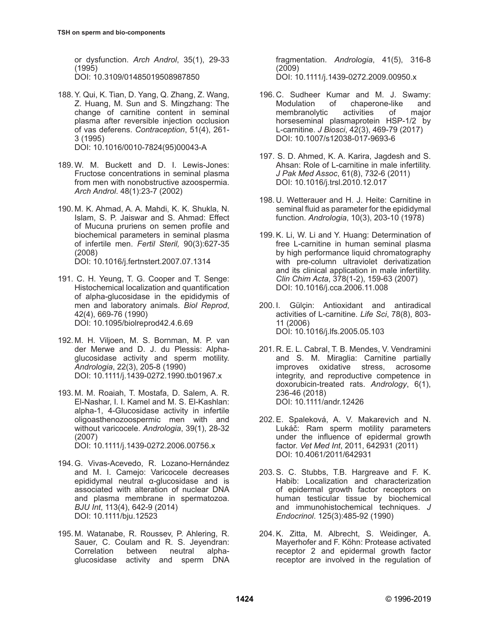or dysfunction. *Arch Androl*, 35(1), 29-33 (1995) [DOI: 10.3109/01485019508987850](https://doi:10.3109/01485019508987850)

- 188.Y. Qui, K. Tian, D. Yang, Q. Zhang, Z. Wang, Z. Huang, M. Sun and S. Mingzhang: The change of carnitine content in seminal plasma after reversible injection occlusion of vas deferens. *Contraception*, 51(4), 261- 3 (1995) [DOI: 10.1016/0010-7824\(95\)00043-A](https://doi:10.1016/0010-7824(95)00043-A)
- 189.W. M. Buckett and D. I. Lewis-Jones: Fructose concentrations in seminal plasma from men with nonobstructive azoospermia. *Arch Androl*. 48(1):23-7 (2002)
- 190. M. K. Ahmad, A. A. Mahdi, K. K. Shukla, N. Islam, S. P. Jaiswar and S. Ahmad: Effect of Mucuna pruriens on semen profile and biochemical parameters in seminal plasma of infertile men. *Fertil Steril,* 90(3):627-35 (2008) [DOI: 10.1016/j.fertnstert.2007.07.1314](https://doi:10.1016/j.fertnstert.2007.07.1314)
- 191. C. H. Yeung, T. G. Cooper and T. Senge: Histochemical localization and quantification of alpha-glucosidase in the epididymis of men and laboratory animals. *Biol Reprod*, 42(4), 669-76 (1990) [DOI: 10.1095/biolreprod42.4.6.69](https://doi:10.1095/biolreprod42.4.6.69)
- 192. M. H. Viljoen, M. S. Bornman, M. P. van der Merwe and D. J. du Plessis: Alphaglucosidase activity and sperm motility. *Andrologia*, 22(3), 205-8 (1990) [DOI: 10.1111/j.1439-0272.1990.tb01967.x](https://doi:10.1111/j.1439-0272.1990.tb01967.x)
- 193. M. M. Roaiah, T. Mostafa, D. Salem, A. R. El-Nashar, I. I. Kamel and M. S. El-Kashlan: alpha-1, 4-Glucosidase activity in infertile oligoasthenozoospermic men with and without varicocele. *Andrologia*, 39(1), 28-32 (2007) [DOI: 10.1111/j.1439-0272.2006.00756.x](https://doi:10.1111/j.1439-0272.2006.00756.x)
- 194.G. Vivas-Acevedo, R. Lozano-Hernández and M. I. Camejo: Varicocele decreases epididymal neutral α-glucosidase and is associated with alteration of nuclear DNA and plasma membrane in spermatozoa. *BJU Int*, 113(4), 642-9 (2014) [DOI: 10.1111/bju.12523](https://doi:10.1111/bju.12523)
- 195. M. Watanabe, R. Roussev, P. Ahlering, R. Sauer, C. Coulam and R. S. Jeyendran: Correlation between neutral alphaglucosidase activity and sperm DNA

fragmentation. *Andrologia*, 41(5), 316-8 (2009) [DOI: 10.1111/j.1439-0272.2009.00950.x](https://doi:10.1111/j.1439-0272.2009.00950.x)

- 196. C. Sudheer Kumar and M. J. Swamy: Modulation of chaperone-like and membranolytic activities of major horseseminal plasmaprotein HSP-1/2 by L-carnitine. *J Biosci*, 42(3), 469-79 (2017) [DOI: 10.1007/s12038-017-9693-6](https://doi:10.1007/s12038-017-9693-6)
- 197. S. D. Ahmed, K. A. Karira, Jagdesh and S. Ahsan: Role of L-carnitine in male infertility. *J Pak Med Assoc*, 61(8), 732-6 (2011) [DOI: 10.1016/j.trsl.2010.12.017](https://doi:10.1016/j.trsl.2010.12.017)
- 198. U. Wetterauer and H. J. Heite: Carnitine in seminal fluid as parameter for the epididymal function. *Andrologia*, 10(3), 203-10 (1978)
- 199.K. Li, W. Li and Y. Huang: Determination of free L-carnitine in human seminal plasma by high performance liquid chromatography with pre-column ultraviolet derivatization and its clinical application in male infertility. *Clin Chim Acta*, 378(1-2), 159-63 (2007) [DOI: 10.1016/j.cca.2006.11.008](https://doi:10.1016/j.cca.2006.11.008)
- 200. I. Gülçin: Antioxidant and antiradical activities of L-carnitine. *Life Sci*, 78(8), 803- 11 (2006) [DOI: 10.1016/j.lfs.2005.05.103](https://doi:10.1016/j.lfs.2005.05.103)
- 201. R. E. L. Cabral, T. B. Mendes, V. Vendramini and S. M. Miraglia: Carnitine partially improves oxidative stress, acrosome integrity, and reproductive competence in doxorubicin-treated rats. *Andrology*, 6(1), 236-46 (2018) [DOI: 10.1111/andr.12426](https://doi:10.1111/andr.12426)
- 202.E. Spaleková, A. V. Makarevich and N. Lukáč: Ram sperm motility parameters under the influence of epidermal growth factor. *Vet Med Int*, 2011, 642931 (2011) [DOI: 10.4061/2011/642931](https://doi:10.4061/2011/642931)
- 203.S. C. Stubbs, T.B. Hargreave and F. K. Habib: Localization and characterization of epidermal growth factor receptors on human testicular tissue by biochemical and immunohistochemical techniques. *J Endocrinol*. 125(3):485-92 (1990)
- 204.K. Zitta, M. Albrecht, S. Weidinger, A. Mayerhofer and F. Köhn: Protease activated receptor 2 and epidermal growth factor receptor are involved in the regulation of